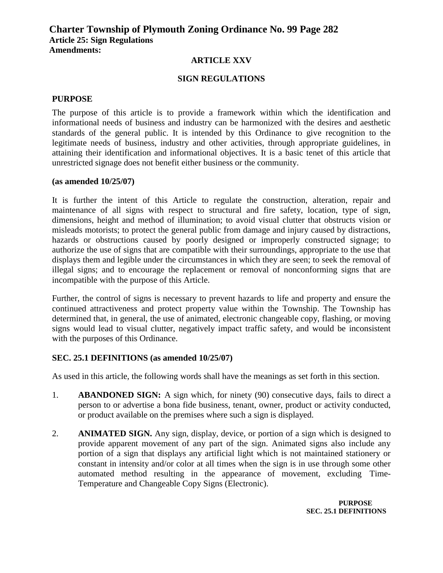### **ARTICLE XXV**

#### **SIGN REGULATIONS**

#### **PURPOSE**

The purpose of this article is to provide a framework within which the identification and informational needs of business and industry can be harmonized with the desires and aesthetic standards of the general public. It is intended by this Ordinance to give recognition to the legitimate needs of business, industry and other activities, through appropriate guidelines, in attaining their identification and informational objectives. It is a basic tenet of this article that unrestricted signage does not benefit either business or the community.

#### **(as amended 10/25/07)**

It is further the intent of this Article to regulate the construction, alteration, repair and maintenance of all signs with respect to structural and fire safety, location, type of sign, dimensions, height and method of illumination; to avoid visual clutter that obstructs vision or misleads motorists; to protect the general public from damage and injury caused by distractions, hazards or obstructions caused by poorly designed or improperly constructed signage; to authorize the use of signs that are compatible with their surroundings, appropriate to the use that displays them and legible under the circumstances in which they are seen; to seek the removal of illegal signs; and to encourage the replacement or removal of nonconforming signs that are incompatible with the purpose of this Article.

Further, the control of signs is necessary to prevent hazards to life and property and ensure the continued attractiveness and protect property value within the Township. The Township has determined that, in general, the use of animated, electronic changeable copy, flashing, or moving signs would lead to visual clutter, negatively impact traffic safety, and would be inconsistent with the purposes of this Ordinance.

### **SEC. 25.1 DEFINITIONS (as amended 10/25/07)**

As used in this article, the following words shall have the meanings as set forth in this section.

- 1. **ABANDONED SIGN:** A sign which, for ninety (90) consecutive days, fails to direct a person to or advertise a bona fide business, tenant, owner, product or activity conducted, or product available on the premises where such a sign is displayed.
- 2. **ANIMATED SIGN.** Any sign, display, device, or portion of a sign which is designed to provide apparent movement of any part of the sign. Animated signs also include any portion of a sign that displays any artificial light which is not maintained stationery or constant in intensity and/or color at all times when the sign is in use through some other automated method resulting in the appearance of movement, excluding Time-Temperature and Changeable Copy Signs (Electronic).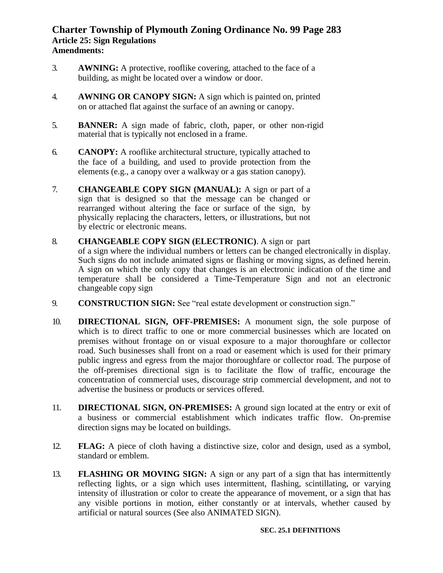- 3. **AWNING:** A protective, rooflike covering, attached to the face of a building, as might be located over a window or door.
- 4. **AWNING OR CANOPY SIGN:** A sign which is painted on, printed on or attached flat against the surface of an awning or canopy.
- 5. **BANNER:** A sign made of fabric, cloth, paper, or other non-rigid material that is typically not enclosed in a frame.
- 6. **CANOPY:** A rooflike architectural structure, typically attached to the face of a building, and used to provide protection from the elements (e.g., a canopy over a walkway or a gas station canopy).
- 7. **CHANGEABLE COPY SIGN (MANUAL):** A sign or part of a sign that is designed so that the message can be changed or rearranged without altering the face or surface of the sign, by physically replacing the characters, letters, or illustrations, but not by electric or electronic means.

## 8. **CHANGEABLE COPY SIGN (ELECTRONIC)**. A sign or part

of a sign where the individual numbers or letters can be changed electronically in display. Such signs do not include animated signs or flashing or moving signs, as defined herein. A sign on which the only copy that changes is an electronic indication of the time and temperature shall be considered a Time-Temperature Sign and not an electronic changeable copy sign

- 9. **CONSTRUCTION SIGN:** See "real estate development or construction sign."
- 10. **DIRECTIONAL SIGN, OFF-PREMISES:** A monument sign, the sole purpose of which is to direct traffic to one or more commercial businesses which are located on premises without frontage on or visual exposure to a major thoroughfare or collector road. Such businesses shall front on a road or easement which is used for their primary public ingress and egress from the major thoroughfare or collector road. The purpose of the off-premises directional sign is to facilitate the flow of traffic, encourage the concentration of commercial uses, discourage strip commercial development, and not to advertise the business or products or services offered.
- 11. **DIRECTIONAL SIGN, ON-PREMISES:** A ground sign located at the entry or exit of a business or commercial establishment which indicates traffic flow. On-premise direction signs may be located on buildings.
- 12. **FLAG:** A piece of cloth having a distinctive size, color and design, used as a symbol, standard or emblem.
- 13. **FLASHING OR MOVING SIGN:** A sign or any part of a sign that has intermittently reflecting lights, or a sign which uses intermittent, flashing, scintillating, or varying intensity of illustration or color to create the appearance of movement, or a sign that has any visible portions in motion, either constantly or at intervals, whether caused by artificial or natural sources (See also ANIMATED SIGN).

#### **SEC. 25.1 DEFINITIONS**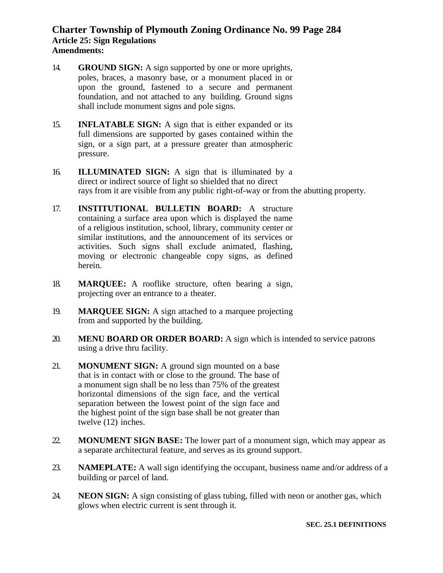- 14. **GROUND SIGN:** A sign supported by one or more uprights, poles, braces, a masonry base, or a monument placed in or upon the ground, fastened to a secure and permanent foundation, and not attached to any building. Ground signs shall include monument signs and pole signs.
- 15. **INFLATABLE SIGN:** A sign that is either expanded or its full dimensions are supported by gases contained within the sign, or a sign part, at a pressure greater than atmospheric pressure.
- 16. **ILLUMINATED SIGN:** A sign that is illuminated by a direct or indirect source of light so shielded that no direct rays from it are visible from any public right-of-way or from the abutting property.
- 17. **INSTITUTIONAL BULLETIN BOARD:** A structure containing a surface area upon which is displayed the name of a religious institution, school, library, community center or similar institutions, and the announcement of its services or activities. Such signs shall exclude animated, flashing, moving or electronic changeable copy signs, as defined herein.
- 18. **MARQUEE:** A rooflike structure, often bearing a sign, projecting over an entrance to a theater.
- 19. **MARQUEE SIGN:** A sign attached to a marquee projecting from and supported by the building.
- 20. **MENU BOARD OR ORDER BOARD:** A sign which is intended to service patrons using a drive thru facility.
- 21. **MONUMENT SIGN:** A ground sign mounted on a base that is in contact with or close to the ground. The base of a monument sign shall be no less than 75% of the greatest horizontal dimensions of the sign face, and the vertical separation between the lowest point of the sign face and the highest point of the sign base shall be not greater than twelve (12) inches.
- 22. **MONUMENT SIGN BASE:** The lower part of a monument sign, which may appear as a separate architectural feature, and serves as its ground support.
- 23. **NAMEPLATE:** A wall sign identifying the occupant, business name and/or address of a building or parcel of land.
- 24. **NEON SIGN:** A sign consisting of glass tubing, filled with neon or another gas, which glows when electric current is sent through it.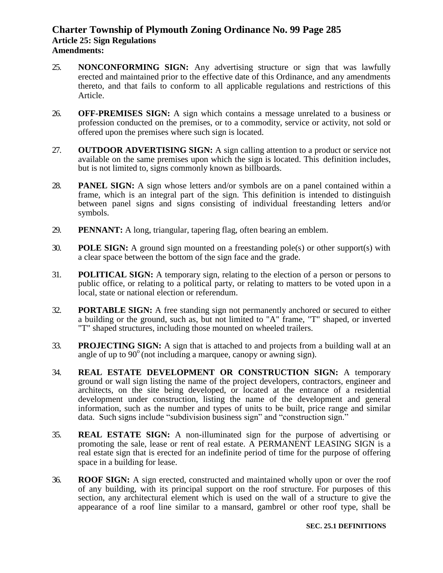- 25. **NONCONFORMING SIGN:** Any advertising structure or sign that was lawfully erected and maintained prior to the effective date of this Ordinance, and any amendments thereto, and that fails to conform to all applicable regulations and restrictions of this Article.
- 26. **OFF-PREMISES SIGN:** A sign which contains a message unrelated to a business or profession conducted on the premises, or to a commodity, service or activity, not sold or offered upon the premises where such sign is located.
- 27. **OUTDOOR ADVERTISING SIGN:** A sign calling attention to a product or service not available on the same premises upon which the sign is located. This definition includes, but is not limited to, signs commonly known as billboards.
- 28. **PANEL SIGN:** A sign whose letters and/or symbols are on a panel contained within a frame, which is an integral part of the sign. This definition is intended to distinguish between panel signs and signs consisting of individual freestanding letters and/or symbols.
- 29. **PENNANT:** A long, triangular, tapering flag, often bearing an emblem.
- 30. **POLE SIGN:** A ground sign mounted on a freestanding pole(s) or other support(s) with a clear space between the bottom of the sign face and the grade.
- 31. **POLITICAL SIGN:** A temporary sign, relating to the election of a person or persons to public office, or relating to a political party, or relating to matters to be voted upon in a local, state or national election or referendum.
- 32. **PORTABLE SIGN:** A free standing sign not permanently anchored or secured to either a building or the ground, such as, but not limited to "A" frame, "T" shaped, or inverted "T" shaped structures, including those mounted on wheeled trailers.
- 33. **PROJECTING SIGN:** A sign that is attached to and projects from a building wall at an angle of up to  $90^{\circ}$  (not including a marquee, canopy or awning sign).
- 34. **REAL ESTATE DEVELOPMENT OR CONSTRUCTION SIGN:** A temporary ground or wall sign listing the name of the project developers, contractors, engineer and architects, on the site being developed, or located at the entrance of a residential development under construction, listing the name of the development and general information, such as the number and types of units to be built, price range and similar data. Such signs include "subdivision business sign" and "construction sign."
- 35. **REAL ESTATE SIGN:** A non-illuminated sign for the purpose of advertising or promoting the sale, lease or rent of real estate. A PERMANENT LEASING SIGN is a real estate sign that is erected for an indefinite period of time for the purpose of offering space in a building for lease.
- 36. **ROOF SIGN:** A sign erected, constructed and maintained wholly upon or over the roof of any building, with its principal support on the roof structure. For purposes of this section, any architectural element which is used on the wall of a structure to give the appearance of a roof line similar to a mansard, gambrel or other roof type, shall be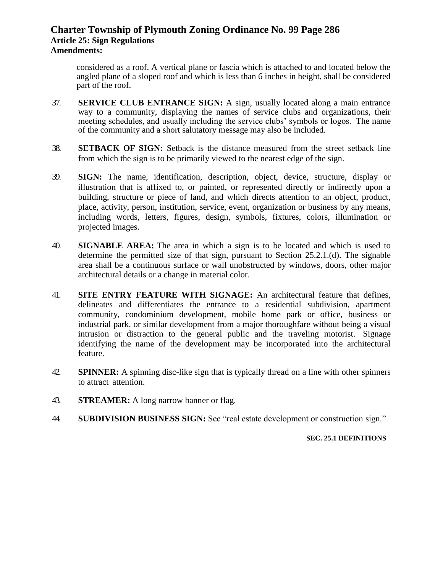considered as a roof. A vertical plane or fascia which is attached to and located below the angled plane of a sloped roof and which is less than 6 inches in height, shall be considered part of the roof.

- 37. **SERVICE CLUB ENTRANCE SIGN:** A sign, usually located along a main entrance way to a community, displaying the names of service clubs and organizations, their meeting schedules, and usually including the service clubs' symbols or logos. The name of the community and a short salutatory message may also be included.
- 38. **SETBACK OF SIGN:** Setback is the distance measured from the street setback line from which the sign is to be primarily viewed to the nearest edge of the sign.
- 39. **SIGN:** The name, identification, description, object, device, structure, display or illustration that is affixed to, or painted, or represented directly or indirectly upon a building, structure or piece of land, and which directs attention to an object, product, place, activity, person, institution, service, event, organization or business by any means, including words, letters, figures, design, symbols, fixtures, colors, illumination or projected images.
- 40. **SIGNABLE AREA:** The area in which a sign is to be located and which is used to determine the permitted size of that sign, pursuant to Section 25.2.1.(d). The signable area shall be a continuous surface or wall unobstructed by windows, doors, other major architectural details or a change in material color.
- 41. **SITE ENTRY FEATURE WITH SIGNAGE:** An architectural feature that defines, delineates and differentiates the entrance to a residential subdivision, apartment community, condominium development, mobile home park or office, business or industrial park, or similar development from a major thoroughfare without being a visual intrusion or distraction to the general public and the traveling motorist. Signage identifying the name of the development may be incorporated into the architectural feature.
- 42. **SPINNER:** A spinning disc-like sign that is typically thread on a line with other spinners to attract attention.
- 43. **STREAMER:** A long narrow banner or flag.
- 44. **SUBDIVISION BUSINESS SIGN:** See "real estate development or construction sign."

**SEC. 25.1 DEFINITIONS**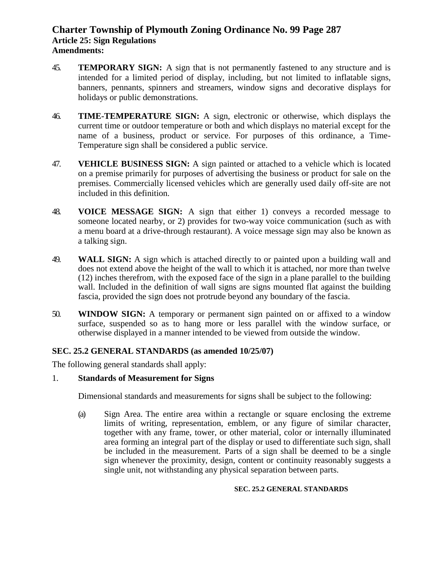- 45. **TEMPORARY SIGN:** A sign that is not permanently fastened to any structure and is intended for a limited period of display, including, but not limited to inflatable signs, banners, pennants, spinners and streamers, window signs and decorative displays for holidays or public demonstrations.
- 46. **TIME-TEMPERATURE SIGN:** A sign, electronic or otherwise, which displays the current time or outdoor temperature or both and which displays no material except for the name of a business, product or service. For purposes of this ordinance, a Time-Temperature sign shall be considered a public service.
- 47. **VEHICLE BUSINESS SIGN:** A sign painted or attached to a vehicle which is located on a premise primarily for purposes of advertising the business or product for sale on the premises. Commercially licensed vehicles which are generally used daily off-site are not included in this definition.
- 48. **VOICE MESSAGE SIGN:** A sign that either 1) conveys a recorded message to someone located nearby, or 2) provides for two-way voice communication (such as with a menu board at a drive-through restaurant). A voice message sign may also be known as a talking sign.
- 49. **WALL SIGN:** A sign which is attached directly to or painted upon a building wall and does not extend above the height of the wall to which it is attached, nor more than twelve (12) inches therefrom, with the exposed face of the sign in a plane parallel to the building wall. Included in the definition of wall signs are signs mounted flat against the building fascia, provided the sign does not protrude beyond any boundary of the fascia.
- 50. **WINDOW SIGN:** A temporary or permanent sign painted on or affixed to a window surface, suspended so as to hang more or less parallel with the window surface, or otherwise displayed in a manner intended to be viewed from outside the window.

## **SEC. 25.2 GENERAL STANDARDS (as amended 10/25/07)**

The following general standards shall apply:

## 1. **Standards of Measurement for Signs**

Dimensional standards and measurements for signs shall be subject to the following:

(a) Sign Area. The entire area within a rectangle or square enclosing the extreme limits of writing, representation, emblem, or any figure of similar character, together with any frame, tower, or other material, color or internally illuminated area forming an integral part of the display or used to differentiate such sign, shall be included in the measurement. Parts of a sign shall be deemed to be a single sign whenever the proximity, design, content or continuity reasonably suggests a single unit, not withstanding any physical separation between parts.

### **SEC. 25.2 GENERAL STANDARDS**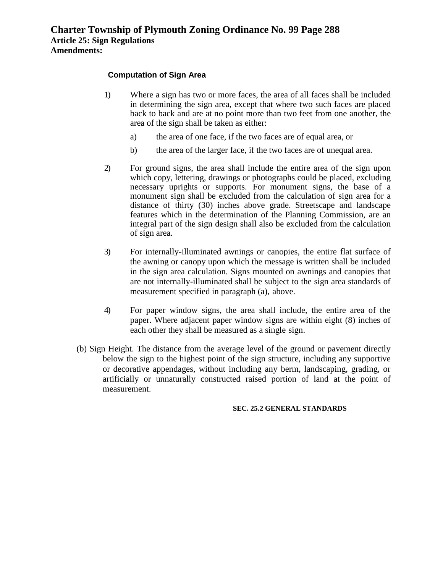#### **Computation of Sign Area**

- 1) Where a sign has two or more faces, the area of all faces shall be included in determining the sign area, except that where two such faces are placed back to back and are at no point more than two feet from one another, the area of the sign shall be taken as either:
	- a) the area of one face, if the two faces are of equal area, or
	- b) the area of the larger face, if the two faces are of unequal area.
- 2) For ground signs, the area shall include the entire area of the sign upon which copy, lettering, drawings or photographs could be placed, excluding necessary uprights or supports. For monument signs, the base of a monument sign shall be excluded from the calculation of sign area for a distance of thirty (30) inches above grade. Streetscape and landscape features which in the determination of the Planning Commission, are an integral part of the sign design shall also be excluded from the calculation of sign area.
- 3) For internally-illuminated awnings or canopies, the entire flat surface of the awning or canopy upon which the message is written shall be included in the sign area calculation. Signs mounted on awnings and canopies that are not internally-illuminated shall be subject to the sign area standards of measurement specified in paragraph (a), above.
- 4) For paper window signs, the area shall include, the entire area of the paper. Where adjacent paper window signs are within eight (8) inches of each other they shall be measured as a single sign.
- (b) Sign Height. The distance from the average level of the ground or pavement directly below the sign to the highest point of the sign structure, including any supportive or decorative appendages, without including any berm, landscaping, grading, or artificially or unnaturally constructed raised portion of land at the point of measurement.

#### **SEC. 25.2 GENERAL STANDARDS**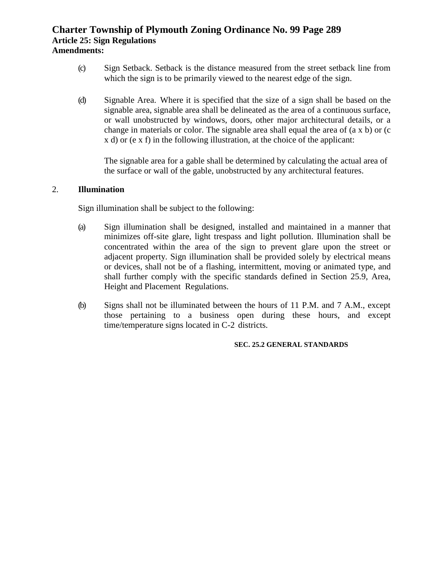- (c) Sign Setback. Setback is the distance measured from the street setback line from which the sign is to be primarily viewed to the nearest edge of the sign.
- (d) Signable Area. Where it is specified that the size of a sign shall be based on the signable area, signable area shall be delineated as the area of a continuous surface, or wall unobstructed by windows, doors, other major architectural details, or a change in materials or color. The signable area shall equal the area of (a x b) or (c x d) or (e x f) in the following illustration, at the choice of the applicant:

The signable area for a gable shall be determined by calculating the actual area of the surface or wall of the gable, unobstructed by any architectural features.

### 2. **Illumination**

Sign illumination shall be subject to the following:

- (a) Sign illumination shall be designed, installed and maintained in a manner that minimizes off-site glare, light trespass and light pollution. Illumination shall be concentrated within the area of the sign to prevent glare upon the street or adjacent property. Sign illumination shall be provided solely by electrical means or devices, shall not be of a flashing, intermittent, moving or animated type, and shall further comply with the specific standards defined in Section 25.9, Area, Height and Placement Regulations.
- (b) Signs shall not be illuminated between the hours of 11 P.M. and 7 A.M., except those pertaining to a business open during these hours, and except time/temperature signs located in C-2 districts.

#### **SEC. 25.2 GENERAL STANDARDS**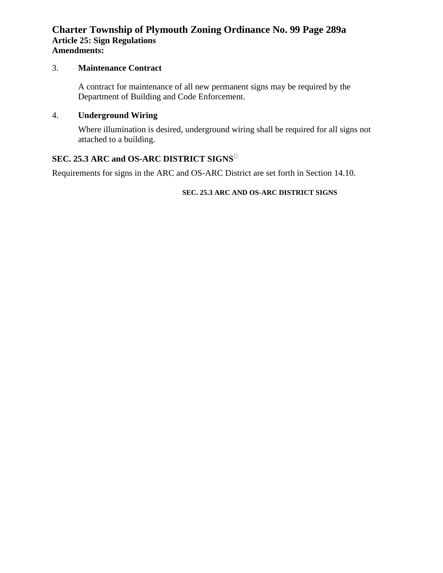### 3. **Maintenance Contract**

A contract for maintenance of all new permanent signs may be required by the Department of Building and Code Enforcement.

## 4. **Underground Wiring**

Where illumination is desired, underground wiring shall be required for all signs not attached to a building.

# **SEC. 25.3 ARC and OS-ARC DISTRICT SIGNS**

Requirements for signs in the ARC and OS-ARC District are set forth in Section 14.10.

#### **SEC. 25.3 ARC AND OS-ARC DISTRICT SIGNS**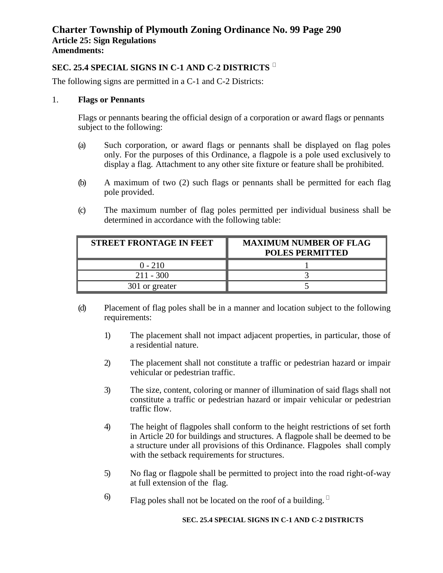## **SEC. 25.4 SPECIAL SIGNS IN C-1 AND C-2 DISTRICTS**

The following signs are permitted in a C-1 and C-2 Districts:

### 1. **Flags or Pennants**

Flags or pennants bearing the official design of a corporation or award flags or pennants subject to the following:

- (a) Such corporation, or award flags or pennants shall be displayed on flag poles only. For the purposes of this Ordinance, a flagpole is a pole used exclusively to display a flag. Attachment to any other site fixture or feature shall be prohibited.
- (b) A maximum of two (2) such flags or pennants shall be permitted for each flag pole provided.
- (c) The maximum number of flag poles permitted per individual business shall be determined in accordance with the following table:

| <b>STREET FRONTAGE IN FEET</b> | <b>MAXIMUM NUMBER OF FLAG</b><br><b>POLES PERMITTED</b> |
|--------------------------------|---------------------------------------------------------|
| $0 - 210$                      |                                                         |
| $211 - 300$                    |                                                         |
| 301 or greater                 |                                                         |

- (d) Placement of flag poles shall be in a manner and location subject to the following requirements:
	- 1) The placement shall not impact adjacent properties, in particular, those of a residential nature.
	- 2) The placement shall not constitute a traffic or pedestrian hazard or impair vehicular or pedestrian traffic.
	- 3) The size, content, coloring or manner of illumination of said flags shall not constitute a traffic or pedestrian hazard or impair vehicular or pedestrian traffic flow.
	- 4) The height of flagpoles shall conform to the height restrictions of set forth in Article 20 for buildings and structures. A flagpole shall be deemed to be a structure under all provisions of this Ordinance. Flagpoles shall comply with the setback requirements for structures.
	- 5) No flag or flagpole shall be permitted to project into the road right-of-way at full extension of the flag.
	- 6) Flag poles shall not be located on the roof of a building.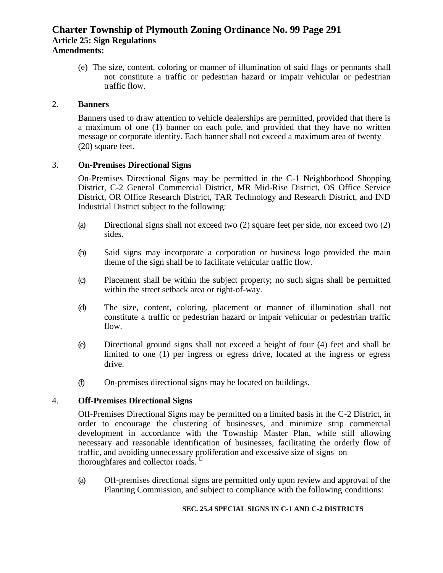(e) The size, content, coloring or manner of illumination of said flags or pennants shall not constitute a traffic or pedestrian hazard or impair vehicular or pedestrian traffic flow.

#### 2. **Banners**

Banners used to draw attention to vehicle dealerships are permitted, provided that there is a maximum of one (1) banner on each pole, and provided that they have no written message or corporate identity. Each banner shall not exceed a maximum area of twenty (20) square feet.

#### 3. **On-Premises Directional Signs**

On-Premises Directional Signs may be permitted in the C-1 Neighborhood Shopping District, C-2 General Commercial District, MR Mid-Rise District, OS Office Service District, OR Office Research District, TAR Technology and Research District, and IND Industrial District subject to the following:

- (a) Directional signs shall not exceed two (2) square feet per side, nor exceed two (2) sides.
- (b) Said signs may incorporate a corporation or business logo provided the main theme of the sign shall be to facilitate vehicular traffic flow.
- (c) Placement shall be within the subject property; no such signs shall be permitted within the street setback area or right-of-way.
- (d) The size, content, coloring, placement or manner of illumination shall not constitute a traffic or pedestrian hazard or impair vehicular or pedestrian traffic flow.
- (e) Directional ground signs shall not exceed a height of four (4) feet and shall be limited to one (1) per ingress or egress drive, located at the ingress or egress drive.
- (f) On-premises directional signs may be located on buildings.

#### 4. **Off-Premises Directional Signs**

Off-Premises Directional Signs may be permitted on a limited basis in the C-2 District, in order to encourage the clustering of businesses, and minimize strip commercial development in accordance with the Township Master Plan, while still allowing necessary and reasonable identification of businesses, facilitating the orderly flow of traffic, and avoiding unnecessary proliferation and excessive size of signs on thoroughfares and collector roads.

(a) Off-premises directional signs are permitted only upon review and approval of the Planning Commission, and subject to compliance with the following conditions: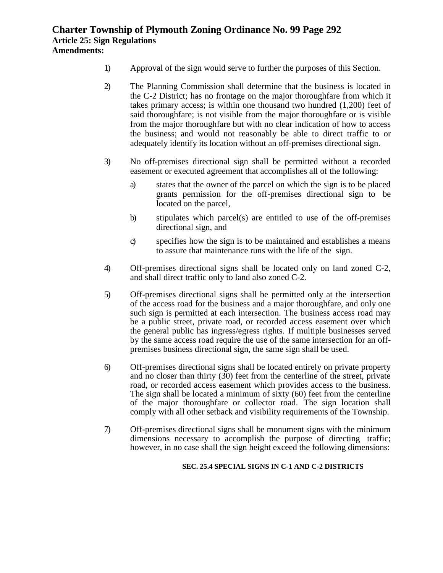- 1) Approval of the sign would serve to further the purposes of this Section.
- 2) The Planning Commission shall determine that the business is located in the C-2 District; has no frontage on the major thoroughfare from which it takes primary access; is within one thousand two hundred (1,200) feet of said thoroughfare; is not visible from the major thoroughfare or is visible from the major thoroughfare but with no clear indication of how to access the business; and would not reasonably be able to direct traffic to or adequately identify its location without an off-premises directional sign.
- 3) No off-premises directional sign shall be permitted without a recorded easement or executed agreement that accomplishes all of the following:
	- a) states that the owner of the parcel on which the sign is to be placed grants permission for the off-premises directional sign to be located on the parcel,
	- b) stipulates which parcel(s) are entitled to use of the off-premises directional sign, and
	- c) specifies how the sign is to be maintained and establishes a means to assure that maintenance runs with the life of the sign.
- 4) Off-premises directional signs shall be located only on land zoned C-2, and shall direct traffic only to land also zoned C-2.
- 5) Off-premises directional signs shall be permitted only at the intersection of the access road for the business and a major thoroughfare, and only one such sign is permitted at each intersection. The business access road may be a public street, private road, or recorded access easement over which the general public has ingress/egress rights. If multiple businesses served by the same access road require the use of the same intersection for an offpremises business directional sign, the same sign shall be used.
- 6) Off-premises directional signs shall be located entirely on private property and no closer than thirty (30) feet from the centerline of the street, private road, or recorded access easement which provides access to the business. The sign shall be located a minimum of sixty (60) feet from the centerline of the major thoroughfare or collector road. The sign location shall comply with all other setback and visibility requirements of the Township.
- 7) Off-premises directional signs shall be monument signs with the minimum dimensions necessary to accomplish the purpose of directing traffic; however, in no case shall the sign height exceed the following dimensions: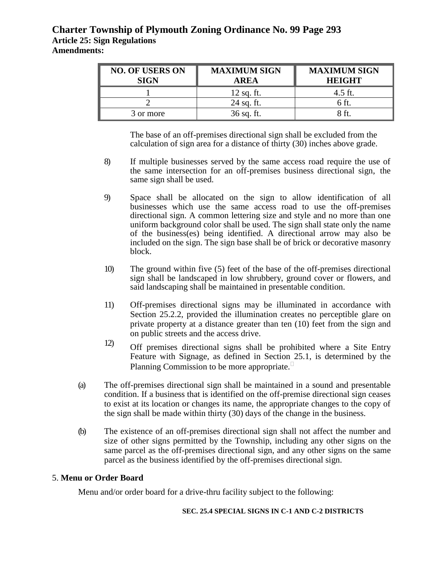| <b>NO. OF USERS ON</b><br><b>SIGN</b> | <b>MAXIMUM SIGN</b><br>AREA | <b>MAXIMUM SIGN</b><br><b>HEIGHT</b> |
|---------------------------------------|-----------------------------|--------------------------------------|
|                                       | $12$ sq. ft.                | $4.5$ ft.                            |
|                                       | 24 sq. ft.                  | $6$ ft.                              |
| 3 or more                             | 36 sq. ft.                  | रे ft                                |

The base of an off-premises directional sign shall be excluded from the calculation of sign area for a distance of thirty (30) inches above grade.

- 8) If multiple businesses served by the same access road require the use of the same intersection for an off-premises business directional sign, the same sign shall be used.
- 9) Space shall be allocated on the sign to allow identification of all businesses which use the same access road to use the off-premises directional sign. A common lettering size and style and no more than one uniform background color shall be used. The sign shall state only the name of the business(es) being identified. A directional arrow may also be included on the sign. The sign base shall be of brick or decorative masonry block.
- 10) The ground within five (5) feet of the base of the off-premises directional sign shall be landscaped in low shrubbery, ground cover or flowers, and said landscaping shall be maintained in presentable condition.
- 11) Off-premises directional signs may be illuminated in accordance with Section 25.2.2, provided the illumination creates no perceptible glare on private property at a distance greater than ten (10) feet from the sign and on public streets and the access drive.
- 12) Off premises directional signs shall be prohibited where <sup>a</sup> Site Entry Feature with Signage, as defined in Section 25.1, is determined by the Planning Commission to be more appropriate.
- (a) The off-premises directional sign shall be maintained in a sound and presentable condition. If a business that is identified on the off-premise directional sign ceases to exist at its location or changes its name, the appropriate changes to the copy of the sign shall be made within thirty (30) days of the change in the business.
- (b) The existence of an off-premises directional sign shall not affect the number and size of other signs permitted by the Township, including any other signs on the same parcel as the off-premises directional sign, and any other signs on the same parcel as the business identified by the off-premises directional sign.

### 5. **Menu or Order Board**

Menu and/or order board for a drive-thru facility subject to the following: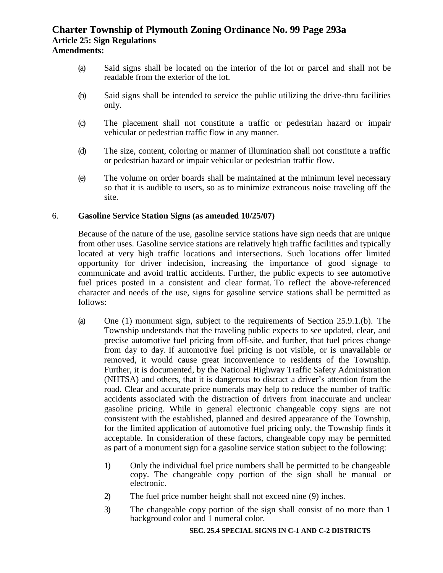- (a) Said signs shall be located on the interior of the lot or parcel and shall not be readable from the exterior of the lot.
- (b) Said signs shall be intended to service the public utilizing the drive-thru facilities only.
- (c) The placement shall not constitute a traffic or pedestrian hazard or impair vehicular or pedestrian traffic flow in any manner.
- (d) The size, content, coloring or manner of illumination shall not constitute a traffic or pedestrian hazard or impair vehicular or pedestrian traffic flow.
- (e) The volume on order boards shall be maintained at the minimum level necessary so that it is audible to users, so as to minimize extraneous noise traveling off the site.

### 6. **Gasoline Service Station Signs (as amended 10/25/07)**

Because of the nature of the use, gasoline service stations have sign needs that are unique from other uses. Gasoline service stations are relatively high traffic facilities and typically located at very high traffic locations and intersections. Such locations offer limited opportunity for driver indecision, increasing the importance of good signage to communicate and avoid traffic accidents. Further, the public expects to see automotive fuel prices posted in a consistent and clear format. To reflect the above-referenced character and needs of the use, signs for gasoline service stations shall be permitted as follows:

- (a) One (1) monument sign, subject to the requirements of Section 25.9.1.(b). The Township understands that the traveling public expects to see updated, clear, and precise automotive fuel pricing from off-site, and further, that fuel prices change from day to day. If automotive fuel pricing is not visible, or is unavailable or removed, it would cause great inconvenience to residents of the Township. Further, it is documented, by the National Highway Traffic Safety Administration (NHTSA) and others, that it is dangerous to distract a driver's attention from the road. Clear and accurate price numerals may help to reduce the number of traffic accidents associated with the distraction of drivers from inaccurate and unclear gasoline pricing. While in general electronic changeable copy signs are not consistent with the established, planned and desired appearance of the Township, for the limited application of automotive fuel pricing only, the Township finds it acceptable. In consideration of these factors, changeable copy may be permitted as part of a monument sign for a gasoline service station subject to the following:
	- 1) Only the individual fuel price numbers shall be permitted to be changeable copy. The changeable copy portion of the sign shall be manual or electronic.
	- 2) The fuel price number height shall not exceed nine (9) inches.
	- 3) The changeable copy portion of the sign shall consist of no more than 1 background color and 1 numeral color.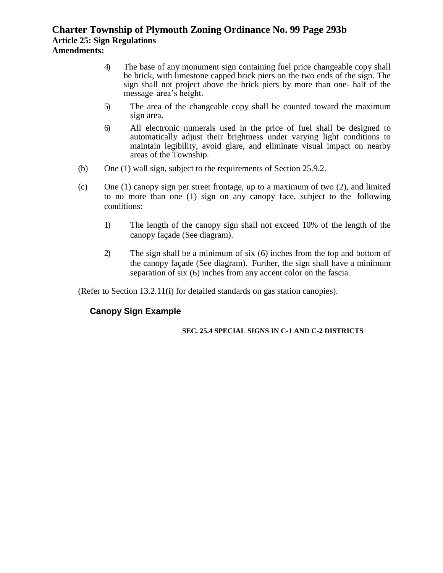- 4) The base of any monument sign containing fuel price changeable copy shall be brick, with limestone capped brick piers on the two ends of the sign. The sign shall not project above the brick piers by more than one- half of the message area's height.
- 5) The area of the changeable copy shall be counted toward the maximum sign area.
- 6) All electronic numerals used in the price of fuel shall be designed to automatically adjust their brightness under varying light conditions to maintain legibility, avoid glare, and eliminate visual impact on nearby areas of the Township.
- (b) One (1) wall sign, subject to the requirements of Section 25.9.2.
- (c) One (1) canopy sign per street frontage, up to a maximum of two (2), and limited to no more than one (1) sign on any canopy face, subject to the following conditions:
	- 1) The length of the canopy sign shall not exceed 10% of the length of the canopy façade (See diagram).
	- 2) The sign shall be a minimum of six (6) inches from the top and bottom of the canopy façade (See diagram). Further, the sign shall have a minimum separation of six (6) inches from any accent color on the fascia.

(Refer to Section 13.2.11(i) for detailed standards on gas station canopies).

## **Canopy Sign Example**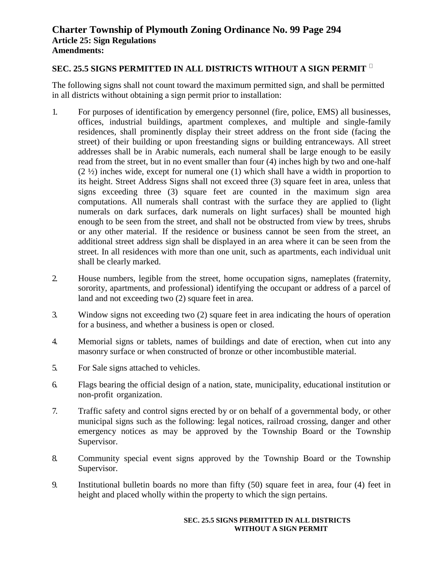# **SEC. 25.5 SIGNS PERMITTED IN ALL DISTRICTS WITHOUT A SIGN PERMIT**

The following signs shall not count toward the maximum permitted sign, and shall be permitted in all districts without obtaining a sign permit prior to installation:

- 1. For purposes of identification by emergency personnel (fire, police, EMS) all businesses, offices, industrial buildings, apartment complexes, and multiple and single-family residences, shall prominently display their street address on the front side (facing the street) of their building or upon freestanding signs or building entranceways. All street addresses shall be in Arabic numerals, each numeral shall be large enough to be easily read from the street, but in no event smaller than four (4) inches high by two and one-half  $(2 \frac{1}{2})$  inches wide, except for numeral one (1) which shall have a width in proportion to its height. Street Address Signs shall not exceed three (3) square feet in area, unless that signs exceeding three (3) square feet are counted in the maximum sign area computations. All numerals shall contrast with the surface they are applied to (light numerals on dark surfaces, dark numerals on light surfaces) shall be mounted high enough to be seen from the street, and shall not be obstructed from view by trees, shrubs or any other material. If the residence or business cannot be seen from the street, an additional street address sign shall be displayed in an area where it can be seen from the street. In all residences with more than one unit, such as apartments, each individual unit shall be clearly marked.
- 2. House numbers, legible from the street, home occupation signs, nameplates (fraternity, sorority, apartments, and professional) identifying the occupant or address of a parcel of land and not exceeding two (2) square feet in area.
- 3. Window signs not exceeding two (2) square feet in area indicating the hours of operation for a business, and whether a business is open or closed.
- 4. Memorial signs or tablets, names of buildings and date of erection, when cut into any masonry surface or when constructed of bronze or other incombustible material.
- 5. For Sale signs attached to vehicles.
- 6. Flags bearing the official design of a nation, state, municipality, educational institution or non-profit organization.
- 7. Traffic safety and control signs erected by or on behalf of a governmental body, or other municipal signs such as the following: legal notices, railroad crossing, danger and other emergency notices as may be approved by the Township Board or the Township Supervisor.
- 8. Community special event signs approved by the Township Board or the Township Supervisor.
- 9. Institutional bulletin boards no more than fifty (50) square feet in area, four (4) feet in height and placed wholly within the property to which the sign pertains.

#### **SEC. 25.5 SIGNS PERMITTED IN ALL DISTRICTS WITHOUT A SIGN PERMIT**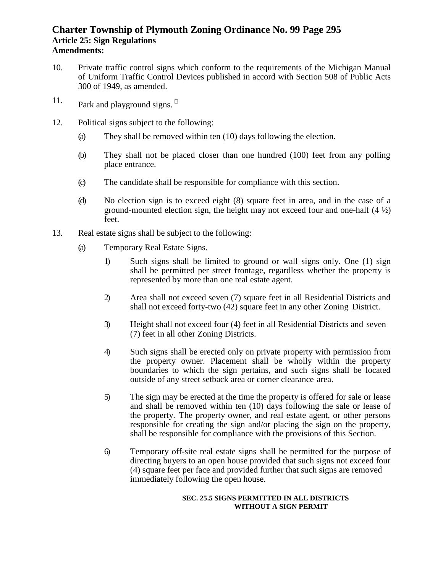- 10. Private traffic control signs which conform to the requirements of the Michigan Manual of Uniform Traffic Control Devices published in accord with Section 508 of Public Acts 300 of 1949, as amended.
- 11. Park and playeround signs.  $\Box$
- 12. Political signs subject to the following:
	- (a) They shall be removed within ten (10) days following the election.
	- (b) They shall not be placed closer than one hundred (100) feet from any polling place entrance.
	- (c) The candidate shall be responsible for compliance with this section.
	- (d) No election sign is to exceed eight (8) square feet in area, and in the case of a ground-mounted election sign, the height may not exceed four and one-half  $(4 \frac{1}{2})$ feet.
- 13. Real estate signs shall be subject to the following:
	- (a) Temporary Real Estate Signs.
		- 1) Such signs shall be limited to ground or wall signs only. One (1) sign shall be permitted per street frontage, regardless whether the property is represented by more than one real estate agent.
		- 2) Area shall not exceed seven (7) square feet in all Residential Districts and shall not exceed forty-two (42) square feet in any other Zoning District.
		- 3) Height shall not exceed four (4) feet in all Residential Districts and seven (7) feet in all other Zoning Districts.
		- 4) Such signs shall be erected only on private property with permission from the property owner. Placement shall be wholly within the property boundaries to which the sign pertains, and such signs shall be located outside of any street setback area or corner clearance area.
		- 5) The sign may be erected at the time the property is offered for sale or lease and shall be removed within ten (10) days following the sale or lease of the property. The property owner, and real estate agent, or other persons responsible for creating the sign and/or placing the sign on the property, shall be responsible for compliance with the provisions of this Section.
		- 6) Temporary off-site real estate signs shall be permitted for the purpose of directing buyers to an open house provided that such signs not exceed four (4) square feet per face and provided further that such signs are removed immediately following the open house.

#### **SEC. 25.5 SIGNS PERMITTED IN ALL DISTRICTS WITHOUT A SIGN PERMIT**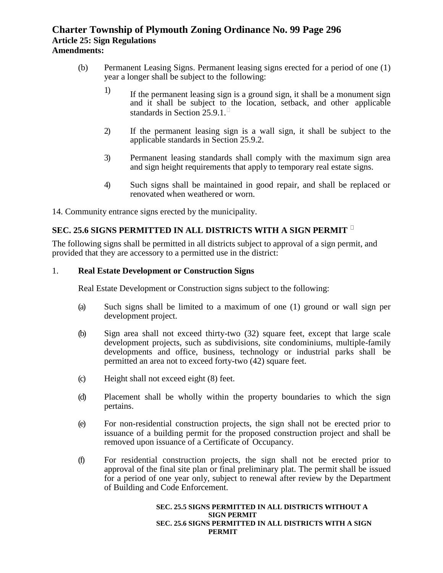- (b) Permanent Leasing Signs. Permanent leasing signs erected for a period of one (1) year a longer shall be subject to the following:
	- 1) If the permanent leasing sign is a ground sign, it shall be a monument sign and it shall be subject to the location, setback, and other applicable standards in Section 25.9.1.
	- 2) If the permanent leasing sign is a wall sign, it shall be subject to the applicable standards in Section 25.9.2.
	- 3) Permanent leasing standards shall comply with the maximum sign area and sign height requirements that apply to temporary real estate signs.
	- 4) Such signs shall be maintained in good repair, and shall be replaced or renovated when weathered or worn.

14. Community entrance signs erected by the municipality.

### **SEC. 25.6 SIGNS PERMITTED IN ALL DISTRICTS WITH A SIGN PERMIT**

The following signs shall be permitted in all districts subject to approval of a sign permit, and provided that they are accessory to a permitted use in the district:

#### 1. **Real Estate Development or Construction Signs**

Real Estate Development or Construction signs subject to the following:

- (a) Such signs shall be limited to a maximum of one (1) ground or wall sign per development project.
- (b) Sign area shall not exceed thirty-two (32) square feet, except that large scale development projects, such as subdivisions, site condominiums, multiple-family developments and office, business, technology or industrial parks shall be permitted an area not to exceed forty-two (42) square feet.
- (c) Height shall not exceed eight (8) feet.
- (d) Placement shall be wholly within the property boundaries to which the sign pertains.
- (e) For non-residential construction projects, the sign shall not be erected prior to issuance of a building permit for the proposed construction project and shall be removed upon issuance of a Certificate of Occupancy.
- (f) For residential construction projects, the sign shall not be erected prior to approval of the final site plan or final preliminary plat. The permit shall be issued for a period of one year only, subject to renewal after review by the Department of Building and Code Enforcement.

#### **SEC. 25.5 SIGNS PERMITTED IN ALL DISTRICTS WITHOUT A SIGN PERMIT SEC. 25.6 SIGNS PERMITTED IN ALL DISTRICTS WITH A SIGN PERMIT**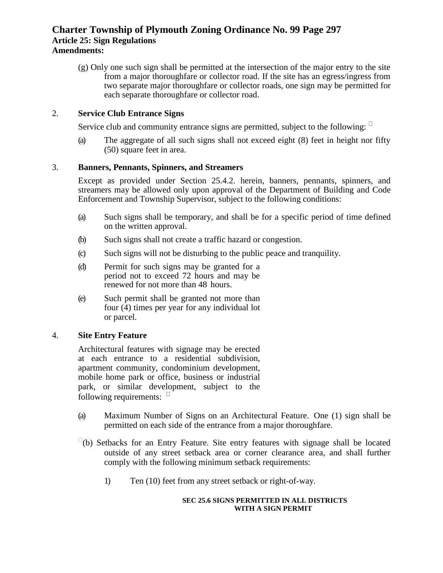(g) Only one such sign shall be permitted at the intersection of the major entry to the site from a major thoroughfare or collector road. If the site has an egress/ingress from two separate major thoroughfare or collector roads, one sign may be permitted for each separate thoroughfare or collector road.

### 2. **Service Club Entrance Signs**

Service club and community entrance signs are permitted, subject to the following:  $\Box$ 

(a) The aggregate of all such signs shall not exceed eight (8) feet in height nor fifty (50) square feet in area.

### 3. **Banners, Pennants, Spinners, and Streamers**

Except as provided under Section 25.4.2. herein, banners, pennants, spinners, and streamers may be allowed only upon approval of the Department of Building and Code Enforcement and Township Supervisor, subject to the following conditions:

- (a) Such signs shall be temporary, and shall be for a specific period of time defined on the written approval.
- (b) Such signs shall not create a traffic hazard or congestion.
- (c) Such signs will not be disturbing to the public peace and tranquility.
- (d) Permit for such signs may be granted for a period not to exceed 72 hours and may be renewed for not more than 48 hours.
- (e) Such permit shall be granted not more than four (4) times per year for any individual lot or parcel.

### 4. **Site Entry Feature**

Architectural features with signage may be erected at each entrance to a residential subdivision, apartment community, condominium development, mobile home park or office, business or industrial park, or similar development, subject to the following requirements:  $\Box$ 

- (a) Maximum Number of Signs on an Architectural Feature. One (1) sign shall be permitted on each side of the entrance from a major thoroughfare.
- $\Box$ (b) Setbacks for an Entry Feature. Site entry features with signage shall be located outside of any street setback area or corner clearance area, and shall further comply with the following minimum setback requirements:
	- 1) Ten (10) feet from any street setback or right-of-way.

#### **SEC 25.6 SIGNS PERMITTED IN ALL DISTRICTS WITH A SIGN PERMIT**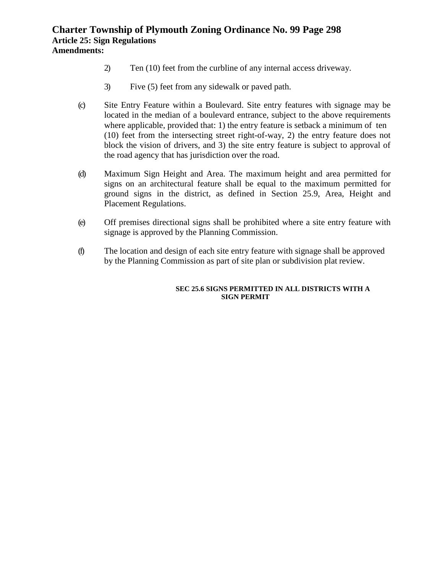- 2) Ten (10) feet from the curbline of any internal access driveway.
- 3) Five (5) feet from any sidewalk or paved path.
- (c) Site Entry Feature within a Boulevard. Site entry features with signage may be located in the median of a boulevard entrance, subject to the above requirements where applicable, provided that: 1) the entry feature is setback a minimum of ten (10) feet from the intersecting street right-of-way, 2) the entry feature does not block the vision of drivers, and 3) the site entry feature is subject to approval of the road agency that has jurisdiction over the road.
- (d) Maximum Sign Height and Area. The maximum height and area permitted for signs on an architectural feature shall be equal to the maximum permitted for ground signs in the district, as defined in Section 25.9, Area, Height and Placement Regulations.
- (e) Off premises directional signs shall be prohibited where a site entry feature with signage is approved by the Planning Commission.
- (f) The location and design of each site entry feature with signage shall be approved by the Planning Commission as part of site plan or subdivision plat review.

#### **SEC 25.6 SIGNS PERMITTED IN ALL DISTRICTS WITH A SIGN PERMIT**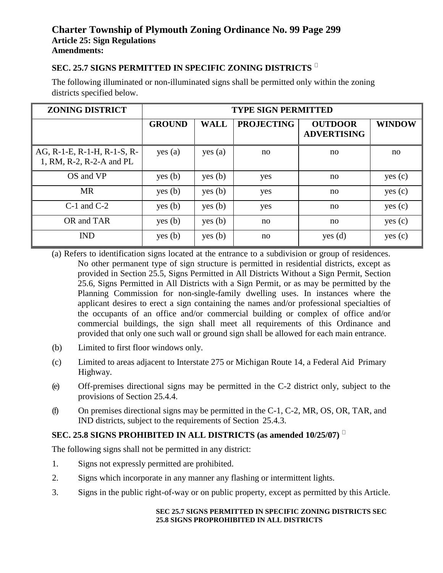# **SEC. 25.7 SIGNS PERMITTED IN SPECIFIC ZONING DISTRICTS**

The following illuminated or non-illuminated signs shall be permitted only within the zoning districts specified below.

| <b>ZONING DISTRICT</b>                                  | <b>TYPE SIGN PERMITTED</b> |             |                   |                                      |               |
|---------------------------------------------------------|----------------------------|-------------|-------------------|--------------------------------------|---------------|
|                                                         | <b>GROUND</b>              | <b>WALL</b> | <b>PROJECTING</b> | <b>OUTDOOR</b><br><b>ADVERTISING</b> | <b>WINDOW</b> |
| AG, R-1-E, R-1-H, R-1-S, R-<br>1, RM, R-2, R-2-A and PL | yes (a)                    | yes (a)     | no                | no                                   | no            |
| OS and VP                                               | yes (b)                    | yes (b)     | yes               | no                                   | yes (c)       |
| <b>MR</b>                                               | yes (b)                    | yes (b)     | yes               | no                                   | yes (c)       |
| $C-1$ and $C-2$                                         | yes (b)                    | yes (b)     | yes               | no                                   | yes (c)       |
| OR and TAR                                              | yes (b)                    | yes (b)     | no                | no                                   | yes (c)       |
| <b>IND</b>                                              | yes (b)                    | yes (b)     | no                | yes (d)                              | yes (c)       |

(a) Refers to identification signs located at the entrance to a subdivision or group of residences. No other permanent type of sign structure is permitted in residential districts, except as provided in Section 25.5, Signs Permitted in All Districts Without a Sign Permit, Section 25.6, Signs Permitted in All Districts with a Sign Permit, or as may be permitted by the Planning Commission for non-single-family dwelling uses. In instances where the applicant desires to erect a sign containing the names and/or professional specialties of the occupants of an office and/or commercial building or complex of office and/or commercial buildings, the sign shall meet all requirements of this Ordinance and provided that only one such wall or ground sign shall be allowed for each main entrance.

- (b) Limited to first floor windows only.
- (c) Limited to areas adjacent to Interstate 275 or Michigan Route 14, a Federal Aid Primary Highway.
- (e) Off-premises directional signs may be permitted in the C-2 district only, subject to the provisions of Section 25.4.4.
- (f) On premises directional signs may be permitted in the C-1, C-2, MR, OS, OR, TAR, and IND districts, subject to the requirements of Section 25.4.3.

## **SEC. 25.8 SIGNS PROHIBITED IN ALL DISTRICTS (as amended 10/25/07)**

The following signs shall not be permitted in any district:

- 1. Signs not expressly permitted are prohibited.
- 2. Signs which incorporate in any manner any flashing or intermittent lights.
- 3. Signs in the public right-of-way or on public property, except as permitted by this Article.

#### **SEC 25.7 SIGNS PERMITTED IN SPECIFIC ZONING DISTRICTS SEC 25.8 SIGNS PROPROHIBITED IN ALL DISTRICTS**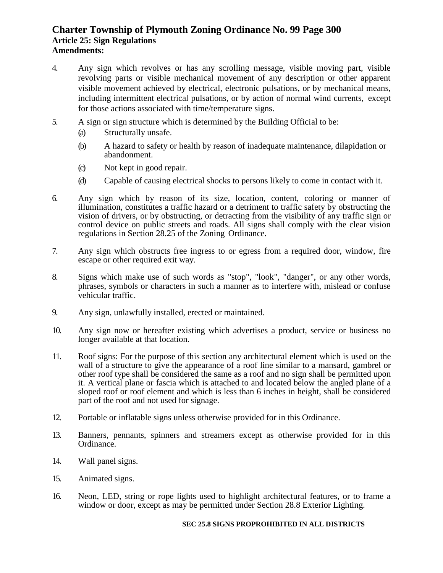- 4. Any sign which revolves or has any scrolling message, visible moving part, visible revolving parts or visible mechanical movement of any description or other apparent visible movement achieved by electrical, electronic pulsations, or by mechanical means, including intermittent electrical pulsations, or by action of normal wind currents, except for those actions associated with time/temperature signs.
- 5. A sign or sign structure which is determined by the Building Official to be:
	- (a) Structurally unsafe.
	- (b) A hazard to safety or health by reason of inadequate maintenance, dilapidation or abandonment.
	- (c) Not kept in good repair.
	- (d) Capable of causing electrical shocks to persons likely to come in contact with it.
- 6. Any sign which by reason of its size, location, content, coloring or manner of illumination, constitutes a traffic hazard or a detriment to traffic safety by obstructing the vision of drivers, or by obstructing, or detracting from the visibility of any traffic sign or control device on public streets and roads. All signs shall comply with the clear vision regulations in Section 28.25 of the Zoning Ordinance.
- 7. Any sign which obstructs free ingress to or egress from a required door, window, fire escape or other required exit way.
- 8. Signs which make use of such words as "stop", "look", "danger", or any other words, phrases, symbols or characters in such a manner as to interfere with, mislead or confuse vehicular traffic.
- 9. Any sign, unlawfully installed, erected or maintained.
- 10. Any sign now or hereafter existing which advertises a product, service or business no longer available at that location.
- 11. Roof signs: For the purpose of this section any architectural element which is used on the wall of a structure to give the appearance of a roof line similar to a mansard, gambrel or other roof type shall be considered the same as a roof and no sign shall be permitted upon it. A vertical plane or fascia which is attached to and located below the angled plane of a sloped roof or roof element and which is less than 6 inches in height, shall be considered part of the roof and not used for signage.
- 12. Portable or inflatable signs unless otherwise provided for in this Ordinance.
- 13. Banners, pennants, spinners and streamers except as otherwise provided for in this Ordinance.
- 14. Wall panel signs.
- 15. Animated signs.
- 16. Neon, LED, string or rope lights used to highlight architectural features, or to frame a window or door, except as may be permitted under Section 28.8 Exterior Lighting.

#### **SEC 25.8 SIGNS PROPROHIBITED IN ALL DISTRICTS**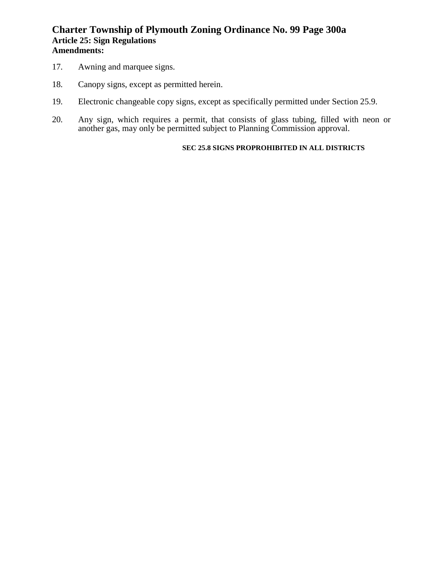- 17. Awning and marquee signs.
- 18. Canopy signs, except as permitted herein.
- 19. Electronic changeable copy signs, except as specifically permitted under Section 25.9.
- 20. Any sign, which requires a permit, that consists of glass tubing, filled with neon or another gas, may only be permitted subject to Planning Commission approval.

### **SEC 25.8 SIGNS PROPROHIBITED IN ALL DISTRICTS**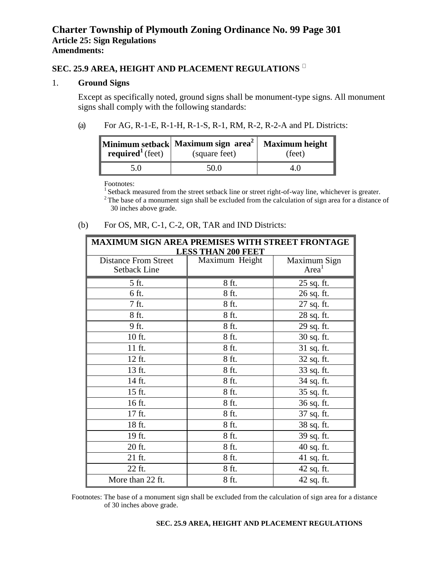## **SEC. 25.9 AREA, HEIGHT AND PLACEMENT REGULATIONS**

#### 1. **Ground Signs**

Except as specifically noted, ground signs shall be monument-type signs. All monument signs shall comply with the following standards:

(a) For AG, R-1-E, R-1-H, R-1-S, R-1, RM, R-2, R-2-A and PL Districts:

| required <sup>1</sup> (feet) | <b>Minimum setback</b> Maximum sign $area^2$<br>(square feet) | <b>Maximum height</b><br>(feet) |
|------------------------------|---------------------------------------------------------------|---------------------------------|
| 5.O                          | 50 O                                                          |                                 |

Footnotes:

<sup>1</sup> Setback measured from the street setback line or street right-of-way line, whichever is greater.

<sup>2</sup>The base of a monument sign shall be excluded from the calculation of sign area for a distance of 30 inches above grade.

| <b>MAXIMUM SIGN AREA PREMISES WITH STREET FRONTAGE</b> |                           |                   |  |  |
|--------------------------------------------------------|---------------------------|-------------------|--|--|
|                                                        | <b>LESS THAN 200 FEET</b> |                   |  |  |
| <b>Distance From Street</b>                            | Maximum Height            | Maximum Sign      |  |  |
| <b>Setback Line</b>                                    |                           | Area <sup>1</sup> |  |  |
| 5 ft.                                                  | 8 ft.                     | 25 sq. ft.        |  |  |
| 6 ft.                                                  | 8 ft.                     | 26 sq. ft.        |  |  |
| 7 ft.                                                  | 8 ft.                     | 27 sq. ft.        |  |  |
| 8 ft.                                                  | 8 ft.                     | 28 sq. ft.        |  |  |
| 9 ft.                                                  | 8 ft.                     | 29 sq. ft.        |  |  |
| 10 ft.                                                 | 8 ft.                     | 30 sq. ft.        |  |  |
| 11 ft.                                                 | 8 ft.                     | 31 sq. ft.        |  |  |
| 12 ft.                                                 | 8 ft.                     | 32 sq. ft.        |  |  |
| 13 ft.                                                 | 8 ft.                     | 33 sq. ft.        |  |  |
| 14 ft.                                                 | 8 ft.                     | 34 sq. ft.        |  |  |
| 15 ft.                                                 | 8 ft.                     | 35 sq. ft.        |  |  |
| 16 ft.                                                 | 8 ft.                     | 36 sq. ft.        |  |  |
| 17 ft.                                                 | 8 ft.                     | 37 sq. ft.        |  |  |
| 18 ft.                                                 | 8 ft.                     | 38 sq. ft.        |  |  |
| 19 ft.                                                 | 8 ft.                     | 39 sq. ft.        |  |  |
| 20 ft.                                                 | 8 ft.                     | 40 sq. ft.        |  |  |
| 21 ft.                                                 | 8 ft.                     | 41 sq. ft.        |  |  |
| 22 ft.                                                 | 8 ft.                     | 42 sq. ft.        |  |  |
| More than 22 ft.                                       | 8 ft.                     | 42 sq. ft.        |  |  |

(b) For OS, MR, C-1, C-2, OR, TAR and IND Districts:

Footnotes: The base of a monument sign shall be excluded from the calculation of sign area for a distance of 30 inches above grade.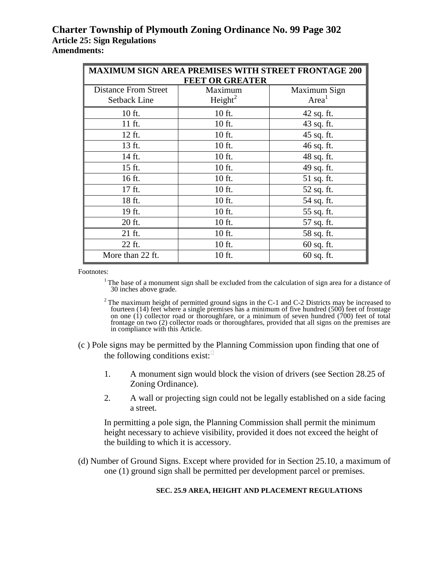| <b>MAXIMUM SIGN AREA PREMISES WITH STREET FRONTAGE 200</b><br><b>FEET OR GREATER</b> |                     |                   |  |  |
|--------------------------------------------------------------------------------------|---------------------|-------------------|--|--|
| <b>Distance From Street</b>                                                          | Maximum             | Maximum Sign      |  |  |
| <b>Setback Line</b>                                                                  | Height <sup>2</sup> | Area <sup>1</sup> |  |  |
| 10 ft.                                                                               | 10 ft.              | 42 sq. ft.        |  |  |
| 11 ft.                                                                               | 10 ft.              | 43 sq. ft.        |  |  |
| 12 ft.                                                                               | 10 ft.              | 45 sq. ft.        |  |  |
| 13 ft.                                                                               | 10 ft.              | 46 sq. ft.        |  |  |
| 14 ft.                                                                               | 10 ft.              | 48 sq. ft.        |  |  |
| 15 ft.                                                                               | 10 ft.              | 49 sq. ft.        |  |  |
| 16 ft.                                                                               | 10 ft.              | 51 sq. ft.        |  |  |
| 17 ft.                                                                               | 10 ft.              | 52 sq. ft.        |  |  |
| 18 ft.                                                                               | 10 ft.              | 54 sq. ft.        |  |  |
| 19 ft.                                                                               | 10 ft.              | 55 sq. ft.        |  |  |
| 20 ft.                                                                               | 10 ft.              | 57 sq. ft.        |  |  |
| 21 ft.                                                                               | 10 ft.              | 58 sq. ft.        |  |  |
| 22 ft.                                                                               | 10 ft.              | 60 sq. ft.        |  |  |
| More than 22 ft.                                                                     | 10 ft.              | 60 sq. ft.        |  |  |

Footnotes:

 $<sup>1</sup>$ The base of a monument sign shall be excluded from the calculation of sign area for a distance of</sup> 30 inches above grade.

 $2^2$ The maximum height of permitted ground signs in the C-1 and C-2 Districts may be increased to fourteen (14) feet where a single premises has a minimum of five hundred (500) feet of frontage on one (1) collector road or thoroughfare, or a minimum of seven hundred (700) feet of total frontage on two (2) collector roads or thoroughfares, provided that all signs on the premises are in compliance with this Article.

- (c ) Pole signs may be permitted by the Planning Commission upon finding that one of the following conditions exist: $\Box$ 
	- 1. A monument sign would block the vision of drivers (see Section 28.25 of Zoning Ordinance).
	- 2. A wall or projecting sign could not be legally established on a side facing a street.

In permitting a pole sign, the Planning Commission shall permit the minimum height necessary to achieve visibility, provided it does not exceed the height of the building to which it is accessory.

(d) Number of Ground Signs. Except where provided for in Section 25.10, a maximum of one (1) ground sign shall be permitted per development parcel or premises.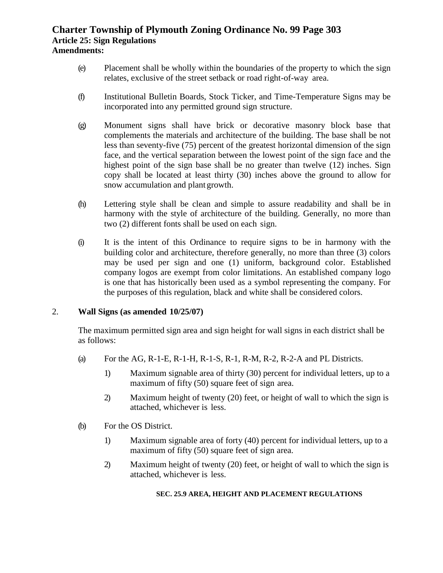- (e) Placement shall be wholly within the boundaries of the property to which the sign relates, exclusive of the street setback or road right-of-way area.
- (f) Institutional Bulletin Boards, Stock Ticker, and Time-Temperature Signs may be incorporated into any permitted ground sign structure.
- (g) Monument signs shall have brick or decorative masonry block base that complements the materials and architecture of the building. The base shall be not less than seventy-five (75) percent of the greatest horizontal dimension of the sign face, and the vertical separation between the lowest point of the sign face and the highest point of the sign base shall be no greater than twelve (12) inches. Sign copy shall be located at least thirty (30) inches above the ground to allow for snow accumulation and plant growth.
- (h) Lettering style shall be clean and simple to assure readability and shall be in harmony with the style of architecture of the building. Generally, no more than two (2) different fonts shall be used on each sign.
- (i) It is the intent of this Ordinance to require signs to be in harmony with the building color and architecture, therefore generally, no more than three (3) colors may be used per sign and one (1) uniform, background color. Established company logos are exempt from color limitations. An established company logo is one that has historically been used as a symbol representing the company. For the purposes of this regulation, black and white shall be considered colors.

## 2. **Wall Signs (as amended 10/25/07)**

The maximum permitted sign area and sign height for wall signs in each district shall be as follows:

- (a) For the AG, R-1-E, R-1-H, R-1-S, R-1, R-M, R-2, R-2-A and PL Districts.
	- 1) Maximum signable area of thirty (30) percent for individual letters, up to a maximum of fifty (50) square feet of sign area.
	- 2) Maximum height of twenty (20) feet, or height of wall to which the sign is attached, whichever is less.
- (b) For the OS District.
	- 1) Maximum signable area of forty (40) percent for individual letters, up to a maximum of fifty (50) square feet of sign area.
	- 2) Maximum height of twenty (20) feet, or height of wall to which the sign is attached, whichever is less.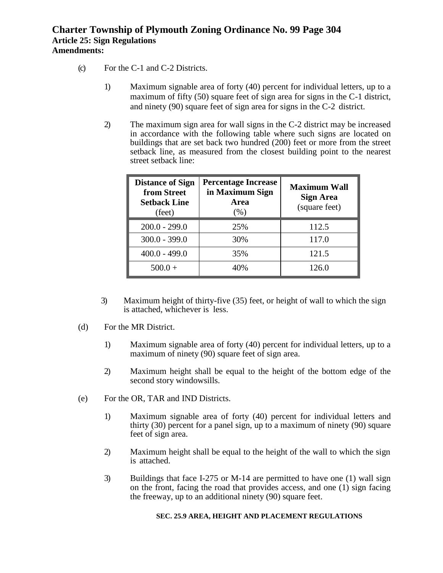- (c) For the C-1 and C-2 Districts.
	- 1) Maximum signable area of forty (40) percent for individual letters, up to a maximum of fifty (50) square feet of sign area for signs in the C-1 district, and ninety (90) square feet of sign area for signs in the C-2 district.
	- 2) The maximum sign area for wall signs in the C-2 district may be increased in accordance with the following table where such signs are located on buildings that are set back two hundred (200) feet or more from the street setback line, as measured from the closest building point to the nearest street setback line:

| <b>Distance of Sign</b><br>from Street<br><b>Setback Line</b><br>(feet) | <b>Percentage Increase</b><br>in Maximum Sign<br>Area<br>(% ) | <b>Maximum Wall</b><br><b>Sign Area</b><br>(square feet) |
|-------------------------------------------------------------------------|---------------------------------------------------------------|----------------------------------------------------------|
| $200.0 - 299.0$                                                         | 25%                                                           | 112.5                                                    |
| $300.0 - 399.0$                                                         | 30%                                                           | 117.0                                                    |
| $400.0 - 499.0$                                                         | 35%                                                           | 121.5                                                    |
| $500.0 +$                                                               | 40%                                                           | 126.0                                                    |

- 3) Maximum height of thirty-five (35) feet, or height of wall to which the sign is attached, whichever is less.
- (d) For the MR District.
	- 1) Maximum signable area of forty (40) percent for individual letters, up to a maximum of ninety (90) square feet of sign area.
	- 2) Maximum height shall be equal to the height of the bottom edge of the second story windowsills.
- (e) For the OR, TAR and IND Districts.
	- 1) Maximum signable area of forty (40) percent for individual letters and thirty (30) percent for a panel sign, up to a maximum of ninety (90) square feet of sign area.
	- 2) Maximum height shall be equal to the height of the wall to which the sign is attached.
	- 3) Buildings that face I-275 or M-14 are permitted to have one (1) wall sign on the front, facing the road that provides access, and one (1) sign facing the freeway, up to an additional ninety (90) square feet.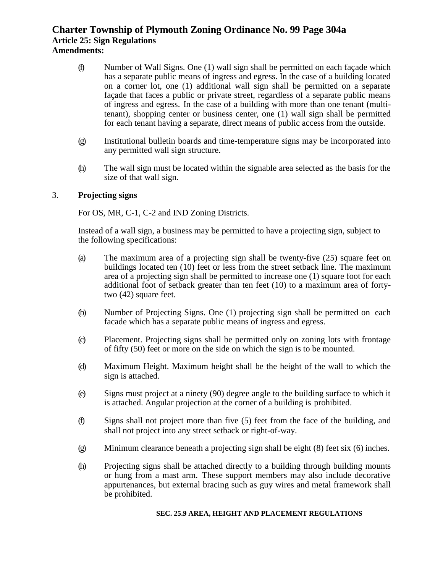- (f) Number of Wall Signs. One (1) wall sign shall be permitted on each façade which has a separate public means of ingress and egress. In the case of a building located on a corner lot, one (1) additional wall sign shall be permitted on a separate façade that faces a public or private street, regardless of a separate public means of ingress and egress. In the case of a building with more than one tenant (multitenant), shopping center or business center, one (1) wall sign shall be permitted for each tenant having a separate, direct means of public access from the outside.
- (g) Institutional bulletin boards and time-temperature signs may be incorporated into any permitted wall sign structure.
- (h) The wall sign must be located within the signable area selected as the basis for the size of that wall sign.

### 3. **Projecting signs**

For OS, MR, C-1, C-2 and IND Zoning Districts.

Instead of a wall sign, a business may be permitted to have a projecting sign, subject to the following specifications:

- (a) The maximum area of a projecting sign shall be twenty-five (25) square feet on buildings located ten (10) feet or less from the street setback line. The maximum area of a projecting sign shall be permitted to increase one (1) square foot for each additional foot of setback greater than ten feet (10) to a maximum area of fortytwo (42) square feet.
- (b) Number of Projecting Signs. One (1) projecting sign shall be permitted on each facade which has a separate public means of ingress and egress.
- (c) Placement. Projecting signs shall be permitted only on zoning lots with frontage of fifty (50) feet or more on the side on which the sign is to be mounted.
- (d) Maximum Height. Maximum height shall be the height of the wall to which the sign is attached.
- (e) Signs must project at a ninety (90) degree angle to the building surface to which it is attached. Angular projection at the corner of a building is prohibited.
- (f) Signs shall not project more than five (5) feet from the face of the building, and shall not project into any street setback or right-of-way.
- (g) Minimum clearance beneath a projecting sign shall be eight (8) feet six (6) inches.
- (h) Projecting signs shall be attached directly to a building through building mounts or hung from a mast arm. These support members may also include decorative appurtenances, but external bracing such as guy wires and metal framework shall be prohibited.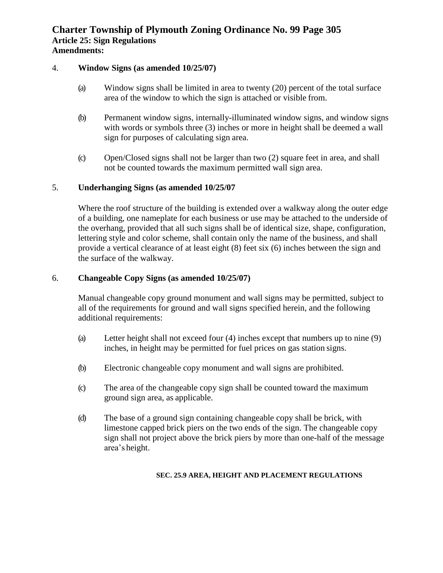### 4. **Window Signs (as amended 10/25/07)**

- (a) Window signs shall be limited in area to twenty (20) percent of the total surface area of the window to which the sign is attached or visible from.
- (b) Permanent window signs, internally-illuminated window signs, and window signs with words or symbols three (3) inches or more in height shall be deemed a wall sign for purposes of calculating sign area.
- (c) Open/Closed signs shall not be larger than two (2) square feet in area, and shall not be counted towards the maximum permitted wall sign area.

### 5. **Underhanging Signs (as amended 10/25/07**

Where the roof structure of the building is extended over a walkway along the outer edge of a building, one nameplate for each business or use may be attached to the underside of the overhang, provided that all such signs shall be of identical size, shape, configuration, lettering style and color scheme, shall contain only the name of the business, and shall provide a vertical clearance of at least eight (8) feet six (6) inches between the sign and the surface of the walkway.

### 6. **Changeable Copy Signs (as amended 10/25/07)**

Manual changeable copy ground monument and wall signs may be permitted, subject to all of the requirements for ground and wall signs specified herein, and the following additional requirements:

- (a) Letter height shall not exceed four (4) inches except that numbers up to nine (9) inches, in height may be permitted for fuel prices on gas station signs.
- (b) Electronic changeable copy monument and wall signs are prohibited.
- (c) The area of the changeable copy sign shall be counted toward the maximum ground sign area, as applicable.
- (d) The base of a ground sign containing changeable copy shall be brick, with limestone capped brick piers on the two ends of the sign. The changeable copy sign shall not project above the brick piers by more than one-half of the message area's height.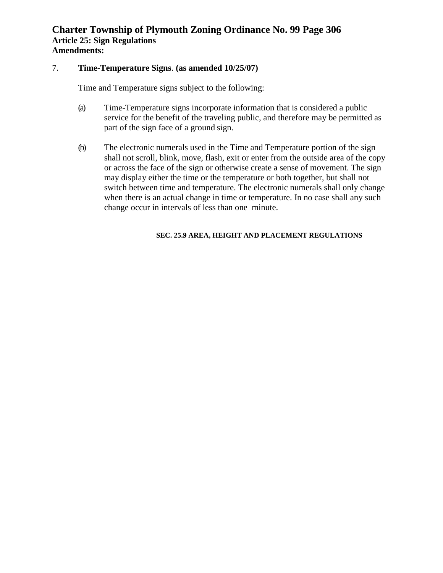### 7. **Time-Temperature Signs**. **(as amended 10/25/07)**

Time and Temperature signs subject to the following:

- (a) Time-Temperature signs incorporate information that is considered a public service for the benefit of the traveling public, and therefore may be permitted as part of the sign face of a ground sign.
- (b) The electronic numerals used in the Time and Temperature portion of the sign shall not scroll, blink, move, flash, exit or enter from the outside area of the copy or across the face of the sign or otherwise create a sense of movement. The sign may display either the time or the temperature or both together, but shall not switch between time and temperature. The electronic numerals shall only change when there is an actual change in time or temperature. In no case shall any such change occur in intervals of less than one minute.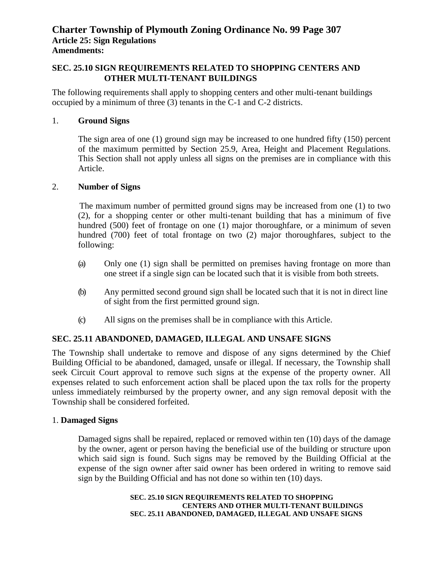## **SEC. 25.10 SIGN REQUIREMENTS RELATED TO SHOPPING CENTERS AND OTHER MULTI-TENANT BUILDINGS**

The following requirements shall apply to shopping centers and other multi-tenant buildings occupied by a minimum of three (3) tenants in the C-1 and C-2 districts.

### 1. **Ground Signs**

The sign area of one (1) ground sign may be increased to one hundred fifty (150) percent of the maximum permitted by Section 25.9, Area, Height and Placement Regulations. This Section shall not apply unless all signs on the premises are in compliance with this Article.

### 2. **Number of Signs**

The maximum number of permitted ground signs may be increased from one (1) to two (2), for a shopping center or other multi-tenant building that has a minimum of five hundred (500) feet of frontage on one (1) major thoroughfare, or a minimum of seven hundred (700) feet of total frontage on two (2) major thoroughfares, subject to the following:

- (a) Only one (1) sign shall be permitted on premises having frontage on more than one street if a single sign can be located such that it is visible from both streets.
- (b) Any permitted second ground sign shall be located such that it is not in direct line of sight from the first permitted ground sign.
- (c) All signs on the premises shall be in compliance with this Article.

## **SEC. 25.11 ABANDONED, DAMAGED, ILLEGAL AND UNSAFE SIGNS**

The Township shall undertake to remove and dispose of any signs determined by the Chief Building Official to be abandoned, damaged, unsafe or illegal. If necessary, the Township shall seek Circuit Court approval to remove such signs at the expense of the property owner. All expenses related to such enforcement action shall be placed upon the tax rolls for the property unless immediately reimbursed by the property owner, and any sign removal deposit with the Township shall be considered forfeited.

### 1. **Damaged Signs**

Damaged signs shall be repaired, replaced or removed within ten (10) days of the damage by the owner, agent or person having the beneficial use of the building or structure upon which said sign is found. Such signs may be removed by the Building Official at the expense of the sign owner after said owner has been ordered in writing to remove said sign by the Building Official and has not done so within ten (10) days.

> **SEC. 25.10 SIGN REQUIREMENTS RELATED TO SHOPPING CENTERS AND OTHER MULTI-TENANT BUILDINGS SEC. 25.11 ABANDONED, DAMAGED, ILLEGAL AND UNSAFE SIGNS**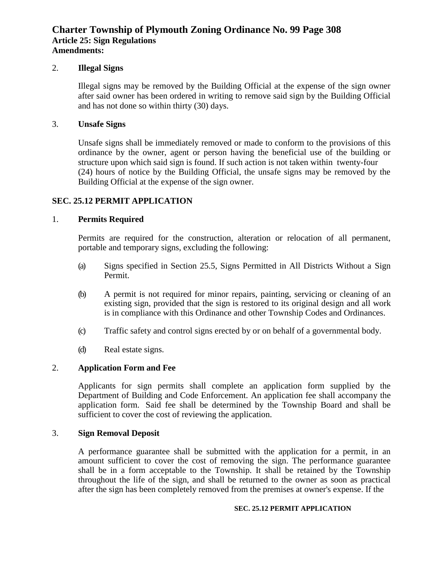#### 2. **Illegal Signs**

Illegal signs may be removed by the Building Official at the expense of the sign owner after said owner has been ordered in writing to remove said sign by the Building Official and has not done so within thirty (30) days.

#### 3. **Unsafe Signs**

Unsafe signs shall be immediately removed or made to conform to the provisions of this ordinance by the owner, agent or person having the beneficial use of the building or structure upon which said sign is found. If such action is not taken within twenty-four (24) hours of notice by the Building Official, the unsafe signs may be removed by the Building Official at the expense of the sign owner.

### **SEC. 25.12 PERMIT APPLICATION**

#### 1. **Permits Required**

Permits are required for the construction, alteration or relocation of all permanent, portable and temporary signs, excluding the following:

- (a) Signs specified in Section 25.5, Signs Permitted in All Districts Without a Sign Permit.
- (b) A permit is not required for minor repairs, painting, servicing or cleaning of an existing sign, provided that the sign is restored to its original design and all work is in compliance with this Ordinance and other Township Codes and Ordinances.
- (c) Traffic safety and control signs erected by or on behalf of a governmental body.
- (d) Real estate signs.

#### 2. **Application Form and Fee**

Applicants for sign permits shall complete an application form supplied by the Department of Building and Code Enforcement. An application fee shall accompany the application form. Said fee shall be determined by the Township Board and shall be sufficient to cover the cost of reviewing the application.

#### 3. **Sign Removal Deposit**

A performance guarantee shall be submitted with the application for a permit, in an amount sufficient to cover the cost of removing the sign. The performance guarantee shall be in a form acceptable to the Township. It shall be retained by the Township throughout the life of the sign, and shall be returned to the owner as soon as practical after the sign has been completely removed from the premises at owner's expense. If the

#### **SEC. 25.12 PERMIT APPLICATION**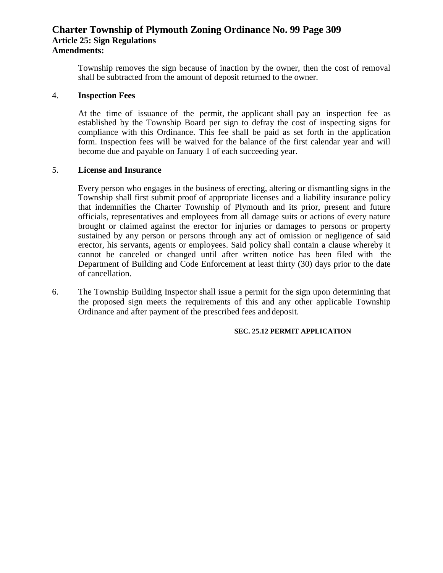Township removes the sign because of inaction by the owner, then the cost of removal shall be subtracted from the amount of deposit returned to the owner.

#### 4. **Inspection Fees**

At the time of issuance of the permit, the applicant shall pay an inspection fee as established by the Township Board per sign to defray the cost of inspecting signs for compliance with this Ordinance. This fee shall be paid as set forth in the application form. Inspection fees will be waived for the balance of the first calendar year and will become due and payable on January 1 of each succeeding year.

#### 5. **License and Insurance**

Every person who engages in the business of erecting, altering or dismantling signs in the Township shall first submit proof of appropriate licenses and a liability insurance policy that indemnifies the Charter Township of Plymouth and its prior, present and future officials, representatives and employees from all damage suits or actions of every nature brought or claimed against the erector for injuries or damages to persons or property sustained by any person or persons through any act of omission or negligence of said erector, his servants, agents or employees. Said policy shall contain a clause whereby it cannot be canceled or changed until after written notice has been filed with the Department of Building and Code Enforcement at least thirty (30) days prior to the date of cancellation.

6. The Township Building Inspector shall issue a permit for the sign upon determining that the proposed sign meets the requirements of this and any other applicable Township Ordinance and after payment of the prescribed fees and deposit.

#### **SEC. 25.12 PERMIT APPLICATION**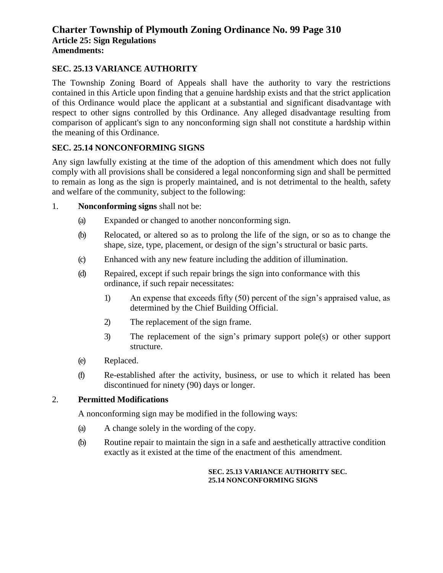### **SEC. 25.13 VARIANCE AUTHORITY**

The Township Zoning Board of Appeals shall have the authority to vary the restrictions contained in this Article upon finding that a genuine hardship exists and that the strict application of this Ordinance would place the applicant at a substantial and significant disadvantage with respect to other signs controlled by this Ordinance. Any alleged disadvantage resulting from comparison of applicant's sign to any nonconforming sign shall not constitute a hardship within the meaning of this Ordinance.

### **SEC. 25.14 NONCONFORMING SIGNS**

Any sign lawfully existing at the time of the adoption of this amendment which does not fully comply with all provisions shall be considered a legal nonconforming sign and shall be permitted to remain as long as the sign is properly maintained, and is not detrimental to the health, safety and welfare of the community, subject to the following:

1. **Nonconforming signs** shall not be:

- (a) Expanded or changed to another nonconforming sign.
- (b) Relocated, or altered so as to prolong the life of the sign, or so as to change the shape, size, type, placement, or design of the sign's structural or basic parts.
- (c) Enhanced with any new feature including the addition of illumination.
- (d) Repaired, except if such repair brings the sign into conformance with this ordinance, if such repair necessitates:
	- 1) An expense that exceeds fifty (50) percent of the sign's appraised value, as determined by the Chief Building Official.
	- 2) The replacement of the sign frame.
	- 3) The replacement of the sign's primary support pole(s) or other support structure.
- (e) Replaced.
- (f) Re-established after the activity, business, or use to which it related has been discontinued for ninety (90) days or longer.

### 2. **Permitted Modifications**

A nonconforming sign may be modified in the following ways:

- (a) A change solely in the wording of the copy.
- (b) Routine repair to maintain the sign in a safe and aesthetically attractive condition exactly as it existed at the time of the enactment of this amendment.

#### **SEC. 25.13 VARIANCE AUTHORITY SEC. 25.14 NONCONFORMING SIGNS**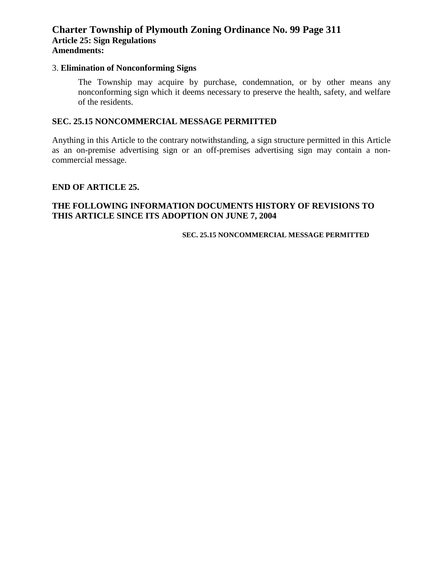#### 3. **Elimination of Nonconforming Signs**

The Township may acquire by purchase, condemnation, or by other means any nonconforming sign which it deems necessary to preserve the health, safety, and welfare of the residents.

#### **SEC. 25.15 NONCOMMERCIAL MESSAGE PERMITTED**

Anything in this Article to the contrary notwithstanding, a sign structure permitted in this Article as an on-premise advertising sign or an off-premises advertising sign may contain a noncommercial message.

#### **END OF ARTICLE 25.**

### **THE FOLLOWING INFORMATION DOCUMENTS HISTORY OF REVISIONS TO THIS ARTICLE SINCE ITS ADOPTION ON JUNE 7, 2004**

#### **SEC. 25.15 NONCOMMERCIAL MESSAGE PERMITTED**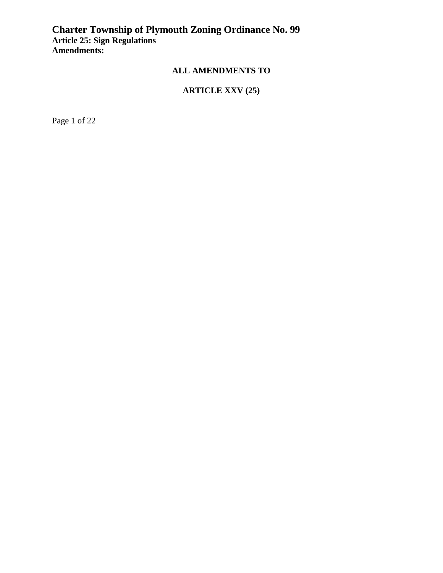# **ALL AMENDMENTS TO**

# **ARTICLE XXV (25)**

Page 1 of 22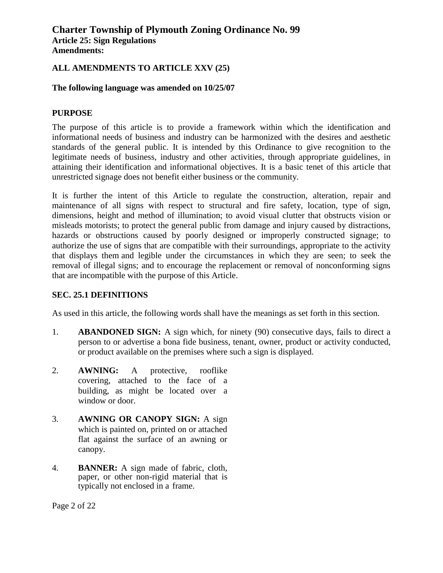### **ALL AMENDMENTS TO ARTICLE XXV (25)**

#### **The following language was amended on 10/25/07**

#### **PURPOSE**

The purpose of this article is to provide a framework within which the identification and informational needs of business and industry can be harmonized with the desires and aesthetic standards of the general public. It is intended by this Ordinance to give recognition to the legitimate needs of business, industry and other activities, through appropriate guidelines, in attaining their identification and informational objectives. It is a basic tenet of this article that unrestricted signage does not benefit either business or the community.

It is further the intent of this Article to regulate the construction, alteration, repair and maintenance of all signs with respect to structural and fire safety, location, type of sign, dimensions, height and method of illumination; to avoid visual clutter that obstructs vision or misleads motorists; to protect the general public from damage and injury caused by distractions, hazards or obstructions caused by poorly designed or improperly constructed signage; to authorize the use of signs that are compatible with their surroundings, appropriate to the activity that displays them and legible under the circumstances in which they are seen; to seek the removal of illegal signs; and to encourage the replacement or removal of nonconforming signs that are incompatible with the purpose of this Article.

### **SEC. 25.1 DEFINITIONS**

As used in this article, the following words shall have the meanings as set forth in this section.

- 1. **ABANDONED SIGN:** A sign which, for ninety (90) consecutive days, fails to direct a person to or advertise a bona fide business, tenant, owner, product or activity conducted, or product available on the premises where such a sign is displayed.
- 2. **AWNING:** A protective, rooflike covering, attached to the face of a building, as might be located over a window or door.
- 3. **AWNING OR CANOPY SIGN:** A sign which is painted on, printed on or attached flat against the surface of an awning or canopy.
- 4. **BANNER:** A sign made of fabric, cloth, paper, or other non-rigid material that is typically not enclosed in a frame.

Page 2 of 22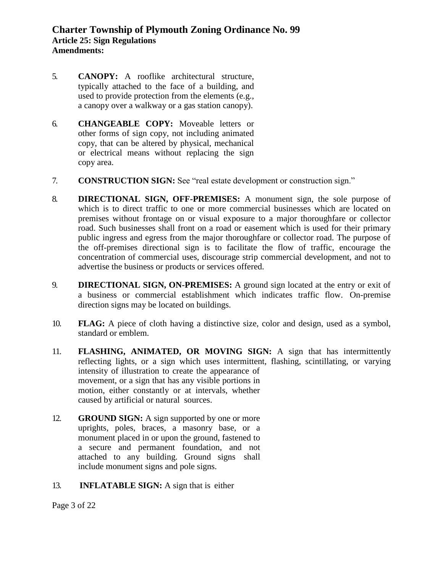- 5. **CANOPY:** A rooflike architectural structure, typically attached to the face of a building, and used to provide protection from the elements (e.g., a canopy over a walkway or a gas station canopy).
- 6. **CHANGEABLE COPY:** Moveable letters or other forms of sign copy, not including animated copy, that can be altered by physical, mechanical or electrical means without replacing the sign copy area.
- 7. **CONSTRUCTION SIGN:** See "real estate development or construction sign."
- 8. **DIRECTIONAL SIGN, OFF-PREMISES:** A monument sign, the sole purpose of which is to direct traffic to one or more commercial businesses which are located on premises without frontage on or visual exposure to a major thoroughfare or collector road. Such businesses shall front on a road or easement which is used for their primary public ingress and egress from the major thoroughfare or collector road. The purpose of the off-premises directional sign is to facilitate the flow of traffic, encourage the concentration of commercial uses, discourage strip commercial development, and not to advertise the business or products or services offered.
- 9. **DIRECTIONAL SIGN, ON-PREMISES:** A ground sign located at the entry or exit of a business or commercial establishment which indicates traffic flow. On-premise direction signs may be located on buildings.
- 10. **FLAG:** A piece of cloth having a distinctive size, color and design, used as a symbol, standard or emblem.
- 11. **FLASHING, ANIMATED, OR MOVING SIGN:** A sign that has intermittently reflecting lights, or a sign which uses intermittent, flashing, scintillating, or varying intensity of illustration to create the appearance of movement, or a sign that has any visible portions in motion, either constantly or at intervals, whether caused by artificial or natural sources.
- 12. **GROUND SIGN:** A sign supported by one or more uprights, poles, braces, a masonry base, or a monument placed in or upon the ground, fastened to a secure and permanent foundation, and not attached to any building. Ground signs shall include monument signs and pole signs.
- 13. **INFLATABLE SIGN:** A sign that is either

Page 3 of 22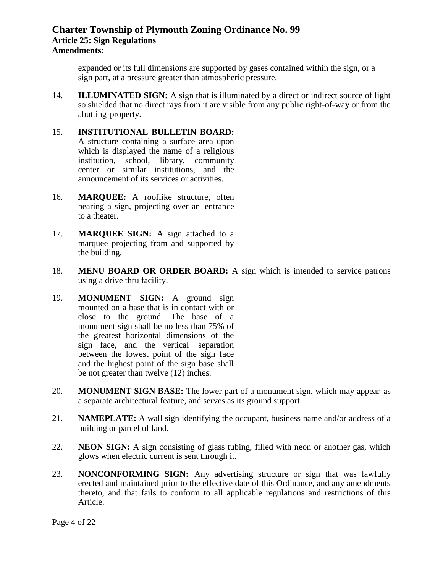expanded or its full dimensions are supported by gases contained within the sign, or a sign part, at a pressure greater than atmospheric pressure.

14. **ILLUMINATED SIGN:** A sign that is illuminated by a direct or indirect source of light so shielded that no direct rays from it are visible from any public right-of-way or from the abutting property.

### 15. **INSTITUTIONAL BULLETIN BOARD:**

A structure containing a surface area upon which is displayed the name of a religious institution, school, library, community center or similar institutions, and the announcement of its services or activities.

- 16. **MARQUEE:** A rooflike structure, often bearing a sign, projecting over an entrance to a theater.
- 17. **MARQUEE SIGN:** A sign attached to a marquee projecting from and supported by the building.
- 18. **MENU BOARD OR ORDER BOARD:** A sign which is intended to service patrons using a drive thru facility.
- 19. **MONUMENT SIGN:** A ground sign mounted on a base that is in contact with or close to the ground. The base of a monument sign shall be no less than 75% of the greatest horizontal dimensions of the sign face, and the vertical separation between the lowest point of the sign face and the highest point of the sign base shall be not greater than twelve (12) inches.
- 20. **MONUMENT SIGN BASE:** The lower part of a monument sign, which may appear as a separate architectural feature, and serves as its ground support.
- 21. **NAMEPLATE:** A wall sign identifying the occupant, business name and/or address of a building or parcel of land.
- 22. **NEON SIGN:** A sign consisting of glass tubing, filled with neon or another gas, which glows when electric current is sent through it.
- 23. **NONCONFORMING SIGN:** Any advertising structure or sign that was lawfully erected and maintained prior to the effective date of this Ordinance, and any amendments thereto, and that fails to conform to all applicable regulations and restrictions of this Article.

Page 4 of 22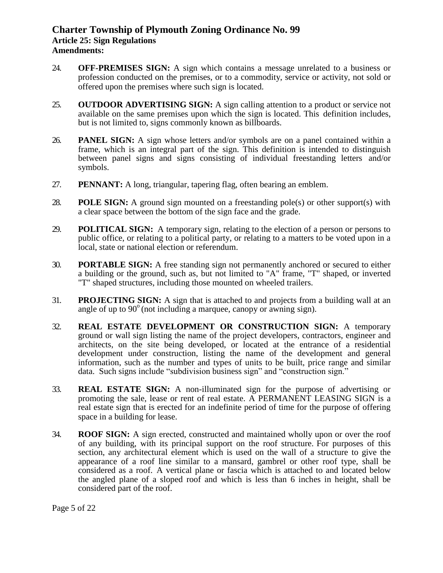- 24. **OFF-PREMISES SIGN:** A sign which contains a message unrelated to a business or profession conducted on the premises, or to a commodity, service or activity, not sold or offered upon the premises where such sign is located.
- 25. **OUTDOOR ADVERTISING SIGN:** A sign calling attention to a product or service not available on the same premises upon which the sign is located. This definition includes, but is not limited to, signs commonly known as billboards.
- 26. **PANEL SIGN:** A sign whose letters and/or symbols are on a panel contained within a frame, which is an integral part of the sign. This definition is intended to distinguish between panel signs and signs consisting of individual freestanding letters and/or symbols.
- 27. **PENNANT:** A long, triangular, tapering flag, often bearing an emblem.
- 28. **POLE SIGN:** A ground sign mounted on a freestanding pole(s) or other support(s) with a clear space between the bottom of the sign face and the grade.
- 29. **POLITICAL SIGN:** A temporary sign, relating to the election of a person or persons to public office, or relating to a political party, or relating to a matters to be voted upon in a local, state or national election or referendum.
- 30. **PORTABLE SIGN:** A free standing sign not permanently anchored or secured to either a building or the ground, such as, but not limited to "A" frame, "T" shaped, or inverted "T" shaped structures, including those mounted on wheeled trailers.
- 31. **PROJECTING SIGN:** A sign that is attached to and projects from a building wall at an angle of up to  $90^{\circ}$  (not including a marquee, canopy or awning sign).
- 32. **REAL ESTATE DEVELOPMENT OR CONSTRUCTION SIGN:** A temporary ground or wall sign listing the name of the project developers, contractors, engineer and architects, on the site being developed, or located at the entrance of a residential development under construction, listing the name of the development and general information, such as the number and types of units to be built, price range and similar data. Such signs include "subdivision business sign" and "construction sign."
- 33. **REAL ESTATE SIGN:** A non-illuminated sign for the purpose of advertising or promoting the sale, lease or rent of real estate. A PERMANENT LEASING SIGN is a real estate sign that is erected for an indefinite period of time for the purpose of offering space in a building for lease.
- 34. **ROOF SIGN:** A sign erected, constructed and maintained wholly upon or over the roof of any building, with its principal support on the roof structure. For purposes of this section, any architectural element which is used on the wall of a structure to give the appearance of a roof line similar to a mansard, gambrel or other roof type, shall be considered as a roof. A vertical plane or fascia which is attached to and located below the angled plane of a sloped roof and which is less than 6 inches in height, shall be considered part of the roof.

Page 5 of 22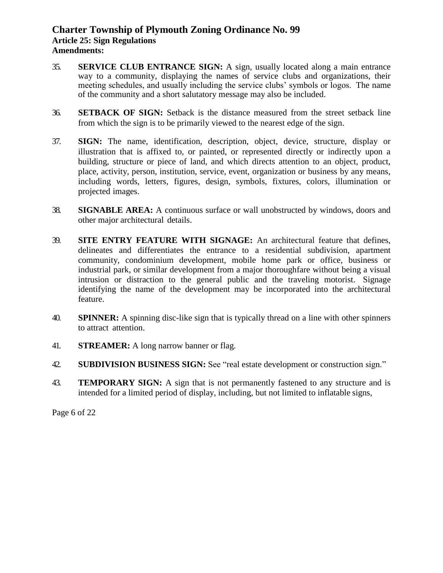- 35. **SERVICE CLUB ENTRANCE SIGN:** A sign, usually located along a main entrance way to a community, displaying the names of service clubs and organizations, their meeting schedules, and usually including the service clubs' symbols or logos. The name of the community and a short salutatory message may also be included.
- 36. **SETBACK OF SIGN:** Setback is the distance measured from the street setback line from which the sign is to be primarily viewed to the nearest edge of the sign.
- 37. **SIGN:** The name, identification, description, object, device, structure, display or illustration that is affixed to, or painted, or represented directly or indirectly upon a building, structure or piece of land, and which directs attention to an object, product, place, activity, person, institution, service, event, organization or business by any means, including words, letters, figures, design, symbols, fixtures, colors, illumination or projected images.
- 38. **SIGNABLE AREA:** A continuous surface or wall unobstructed by windows, doors and other major architectural details.
- 39. **SITE ENTRY FEATURE WITH SIGNAGE:** An architectural feature that defines, delineates and differentiates the entrance to a residential subdivision, apartment community, condominium development, mobile home park or office, business or industrial park, or similar development from a major thoroughfare without being a visual intrusion or distraction to the general public and the traveling motorist. Signage identifying the name of the development may be incorporated into the architectural feature.
- 40. **SPINNER:** A spinning disc-like sign that is typically thread on a line with other spinners to attract attention.
- 41. **STREAMER:** A long narrow banner or flag.
- 42. **SUBDIVISION BUSINESS SIGN:** See "real estate development or construction sign."
- 43. **TEMPORARY SIGN:** A sign that is not permanently fastened to any structure and is intended for a limited period of display, including, but not limited to inflatable signs,

Page 6 of 22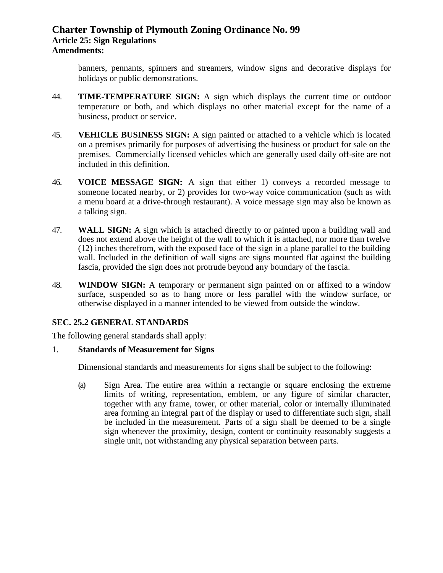banners, pennants, spinners and streamers, window signs and decorative displays for holidays or public demonstrations.

- 44. **TIME-TEMPERATURE SIGN:** A sign which displays the current time or outdoor temperature or both, and which displays no other material except for the name of a business, product or service.
- 45. **VEHICLE BUSINESS SIGN:** A sign painted or attached to a vehicle which is located on a premises primarily for purposes of advertising the business or product for sale on the premises. Commercially licensed vehicles which are generally used daily off-site are not included in this definition.
- 46. **VOICE MESSAGE SIGN:** A sign that either 1) conveys a recorded message to someone located nearby, or 2) provides for two-way voice communication (such as with a menu board at a drive-through restaurant). A voice message sign may also be known as a talking sign.
- 47. **WALL SIGN:** A sign which is attached directly to or painted upon a building wall and does not extend above the height of the wall to which it is attached, nor more than twelve (12) inches therefrom, with the exposed face of the sign in a plane parallel to the building wall. Included in the definition of wall signs are signs mounted flat against the building fascia, provided the sign does not protrude beyond any boundary of the fascia.
- 48. **WINDOW SIGN:** A temporary or permanent sign painted on or affixed to a window surface, suspended so as to hang more or less parallel with the window surface, or otherwise displayed in a manner intended to be viewed from outside the window.

## **SEC. 25.2 GENERAL STANDARDS**

The following general standards shall apply:

## 1. **Standards of Measurement for Signs**

Dimensional standards and measurements for signs shall be subject to the following:

(a) Sign Area. The entire area within a rectangle or square enclosing the extreme limits of writing, representation, emblem, or any figure of similar character, together with any frame, tower, or other material, color or internally illuminated area forming an integral part of the display or used to differentiate such sign, shall be included in the measurement. Parts of a sign shall be deemed to be a single sign whenever the proximity, design, content or continuity reasonably suggests a single unit, not withstanding any physical separation between parts.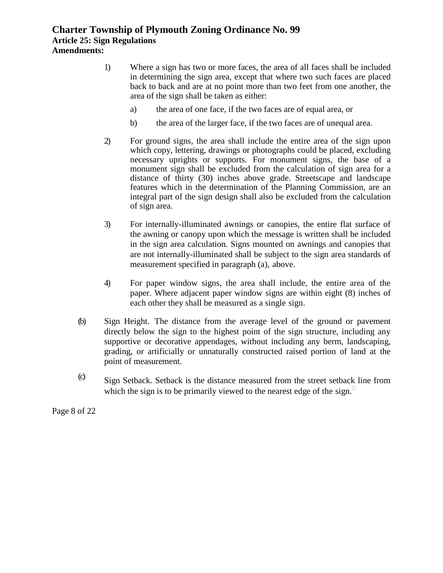- 1) Where a sign has two or more faces, the area of all faces shall be included in determining the sign area, except that where two such faces are placed back to back and are at no point more than two feet from one another, the area of the sign shall be taken as either:
	- a) the area of one face, if the two faces are of equal area, or
	- b) the area of the larger face, if the two faces are of unequal area.
- 2) For ground signs, the area shall include the entire area of the sign upon which copy, lettering, drawings or photographs could be placed, excluding necessary uprights or supports. For monument signs, the base of a monument sign shall be excluded from the calculation of sign area for a distance of thirty (30) inches above grade. Streetscape and landscape features which in the determination of the Planning Commission, are an integral part of the sign design shall also be excluded from the calculation of sign area.
- 3) For internally-illuminated awnings or canopies, the entire flat surface of the awning or canopy upon which the message is written shall be included in the sign area calculation. Signs mounted on awnings and canopies that are not internally-illuminated shall be subject to the sign area standards of measurement specified in paragraph (a), above.
- 4) For paper window signs, the area shall include, the entire area of the paper. Where adjacent paper window signs are within eight (8) inches of each other they shall be measured as a single sign.
- (b) Sign Height. The distance from the average level of the ground or pavement directly below the sign to the highest point of the sign structure, including any supportive or decorative appendages, without including any berm, landscaping, grading, or artificially or unnaturally constructed raised portion of land at the point of measurement.
- (c) Sign Setback. Setback is the distance measured from the street setback line from which the sign is to be primarily viewed to the nearest edge of the sign. $\Box$

Page 8 of 22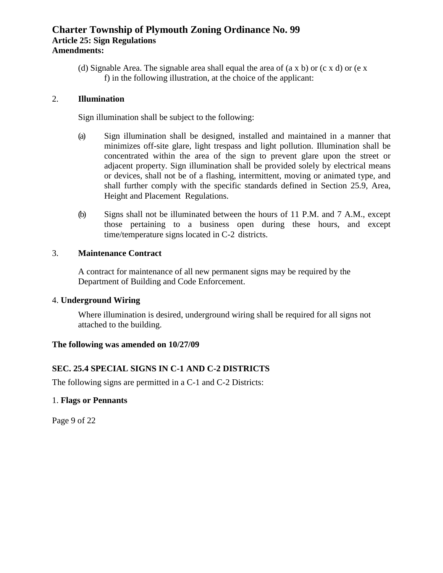(d) Signable Area. The signable area shall equal the area of  $(a \times b)$  or  $(c \times d)$  or  $(e \times c)$ f) in the following illustration, at the choice of the applicant:

### 2. **Illumination**

Sign illumination shall be subject to the following:

- (a) Sign illumination shall be designed, installed and maintained in a manner that minimizes off-site glare, light trespass and light pollution. Illumination shall be concentrated within the area of the sign to prevent glare upon the street or adjacent property. Sign illumination shall be provided solely by electrical means or devices, shall not be of a flashing, intermittent, moving or animated type, and shall further comply with the specific standards defined in Section 25.9, Area, Height and Placement Regulations.
- (b) Signs shall not be illuminated between the hours of 11 P.M. and 7 A.M., except those pertaining to a business open during these hours, and except time/temperature signs located in C-2 districts.

### 3. **Maintenance Contract**

A contract for maintenance of all new permanent signs may be required by the Department of Building and Code Enforcement.

### 4. **Underground Wiring**

Where illumination is desired, underground wiring shall be required for all signs not attached to the building.

### **The following was amended on 10/27/09**

## **SEC. 25.4 SPECIAL SIGNS IN C-1 AND C-2 DISTRICTS**

The following signs are permitted in a C-1 and C-2 Districts:

## 1. **Flags or Pennants**

Page 9 of 22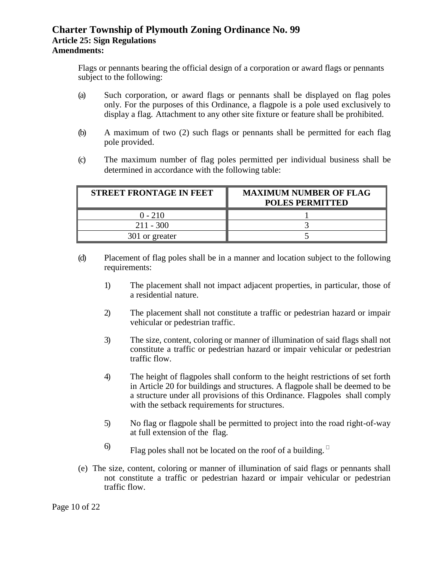Flags or pennants bearing the official design of a corporation or award flags or pennants subject to the following:

- (a) Such corporation, or award flags or pennants shall be displayed on flag poles only. For the purposes of this Ordinance, a flagpole is a pole used exclusively to display a flag. Attachment to any other site fixture or feature shall be prohibited.
- (b) A maximum of two (2) such flags or pennants shall be permitted for each flag pole provided.
- (c) The maximum number of flag poles permitted per individual business shall be determined in accordance with the following table:

| <b>STREET FRONTAGE IN FEET</b> | <b>MAXIMUM NUMBER OF FLAG</b><br><b>POLES PERMITTED</b> |
|--------------------------------|---------------------------------------------------------|
| $0 - 210$                      |                                                         |
| $211 - 300$                    |                                                         |
| 301 or greater                 |                                                         |

- (d) Placement of flag poles shall be in a manner and location subject to the following requirements:
	- 1) The placement shall not impact adjacent properties, in particular, those of a residential nature.
	- 2) The placement shall not constitute a traffic or pedestrian hazard or impair vehicular or pedestrian traffic.
	- 3) The size, content, coloring or manner of illumination of said flags shall not constitute a traffic or pedestrian hazard or impair vehicular or pedestrian traffic flow.
	- 4) The height of flagpoles shall conform to the height restrictions of set forth in Article 20 for buildings and structures. A flagpole shall be deemed to be a structure under all provisions of this Ordinance. Flagpoles shall comply with the setback requirements for structures.
	- 5) No flag or flagpole shall be permitted to project into the road right-of-way at full extension of the flag.
	- 6) Flag poles shall not be located on the roof of a building.
- (e) The size, content, coloring or manner of illumination of said flags or pennants shall not constitute a traffic or pedestrian hazard or impair vehicular or pedestrian traffic flow.

Page 10 of 22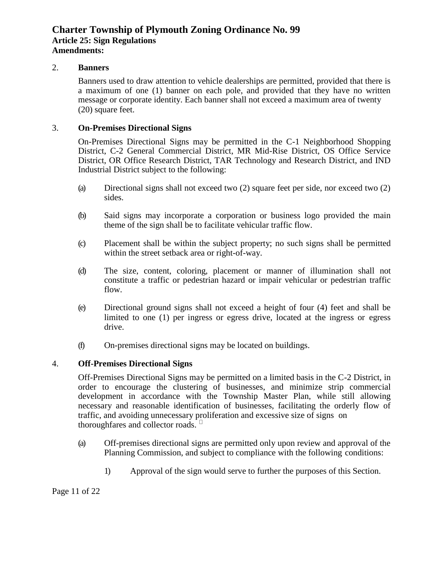#### 2. **Banners**

Banners used to draw attention to vehicle dealerships are permitted, provided that there is a maximum of one (1) banner on each pole, and provided that they have no written message or corporate identity. Each banner shall not exceed a maximum area of twenty (20) square feet.

#### 3. **On-Premises Directional Signs**

On-Premises Directional Signs may be permitted in the C-1 Neighborhood Shopping District, C-2 General Commercial District, MR Mid-Rise District, OS Office Service District, OR Office Research District, TAR Technology and Research District, and IND Industrial District subject to the following:

- (a) Directional signs shall not exceed two (2) square feet per side, nor exceed two (2) sides.
- (b) Said signs may incorporate a corporation or business logo provided the main theme of the sign shall be to facilitate vehicular traffic flow.
- (c) Placement shall be within the subject property; no such signs shall be permitted within the street setback area or right-of-way.
- (d) The size, content, coloring, placement or manner of illumination shall not constitute a traffic or pedestrian hazard or impair vehicular or pedestrian traffic flow.
- (e) Directional ground signs shall not exceed a height of four (4) feet and shall be limited to one (1) per ingress or egress drive, located at the ingress or egress drive.
- (f) On-premises directional signs may be located on buildings.

### 4. **Off-Premises Directional Signs**

Off-Premises Directional Signs may be permitted on a limited basis in the C-2 District, in order to encourage the clustering of businesses, and minimize strip commercial development in accordance with the Township Master Plan, while still allowing necessary and reasonable identification of businesses, facilitating the orderly flow of traffic, and avoiding unnecessary proliferation and excessive size of signs on thoroughfares and collector roads.

- (a) Off-premises directional signs are permitted only upon review and approval of the Planning Commission, and subject to compliance with the following conditions:
	- 1) Approval of the sign would serve to further the purposes of this Section.

Page 11 of 22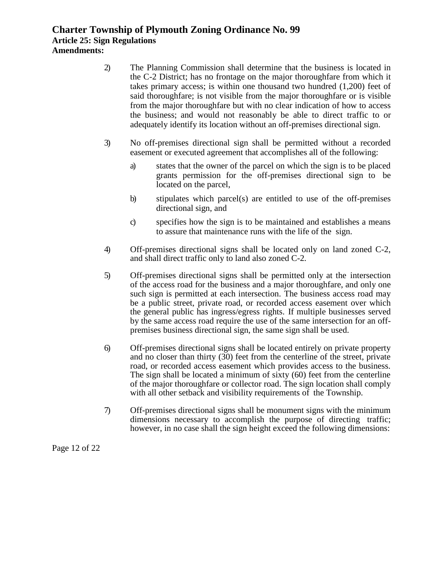- 2) The Planning Commission shall determine that the business is located in the C-2 District; has no frontage on the major thoroughfare from which it takes primary access; is within one thousand two hundred (1,200) feet of said thoroughfare; is not visible from the major thoroughfare or is visible from the major thoroughfare but with no clear indication of how to access the business; and would not reasonably be able to direct traffic to or adequately identify its location without an off-premises directional sign.
- 3) No off-premises directional sign shall be permitted without a recorded easement or executed agreement that accomplishes all of the following:
	- a) states that the owner of the parcel on which the sign is to be placed grants permission for the off-premises directional sign to be located on the parcel,
	- b) stipulates which parcel(s) are entitled to use of the off-premises directional sign, and
	- c) specifies how the sign is to be maintained and establishes a means to assure that maintenance runs with the life of the sign.
- 4) Off-premises directional signs shall be located only on land zoned C-2, and shall direct traffic only to land also zoned C-2.
- 5) Off-premises directional signs shall be permitted only at the intersection of the access road for the business and a major thoroughfare, and only one such sign is permitted at each intersection. The business access road may be a public street, private road, or recorded access easement over which the general public has ingress/egress rights. If multiple businesses served by the same access road require the use of the same intersection for an offpremises business directional sign, the same sign shall be used.
- 6) Off-premises directional signs shall be located entirely on private property and no closer than thirty (30) feet from the centerline of the street, private road, or recorded access easement which provides access to the business. The sign shall be located a minimum of sixty (60) feet from the centerline of the major thoroughfare or collector road. The sign location shall comply with all other setback and visibility requirements of the Township.
- 7) Off-premises directional signs shall be monument signs with the minimum dimensions necessary to accomplish the purpose of directing traffic; however, in no case shall the sign height exceed the following dimensions:

Page 12 of 22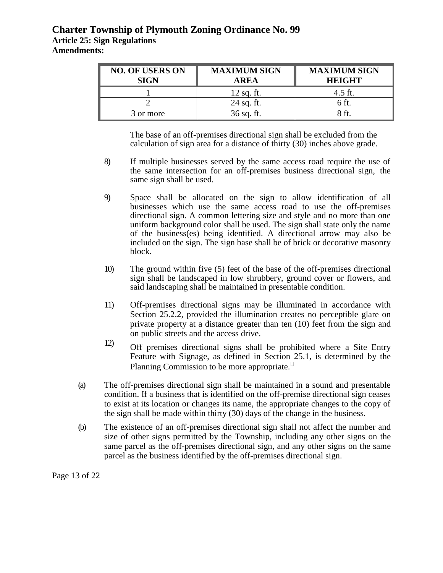| <b>NO. OF USERS ON</b><br><b>SIGN</b> | <b>MAXIMUM SIGN</b><br>AREA | <b>MAXIMUM SIGN</b><br><b>HEIGHT</b> |
|---------------------------------------|-----------------------------|--------------------------------------|
|                                       | $12$ sq. ft.                | 4.5 ft.                              |
|                                       | 24 sq. ft.                  | 6ft.                                 |
| 3 or more                             | 36 sq. ft.                  | 8f <sub>f</sub>                      |

The base of an off-premises directional sign shall be excluded from the calculation of sign area for a distance of thirty (30) inches above grade.

- 8) If multiple businesses served by the same access road require the use of the same intersection for an off-premises business directional sign, the same sign shall be used.
- 9) Space shall be allocated on the sign to allow identification of all businesses which use the same access road to use the off-premises directional sign. A common lettering size and style and no more than one uniform background color shall be used. The sign shall state only the name of the business(es) being identified. A directional arrow may also be included on the sign. The sign base shall be of brick or decorative masonry block.
- 10) The ground within five (5) feet of the base of the off-premises directional sign shall be landscaped in low shrubbery, ground cover or flowers, and said landscaping shall be maintained in presentable condition.
- 11) Off-premises directional signs may be illuminated in accordance with Section 25.2.2, provided the illumination creates no perceptible glare on private property at a distance greater than ten (10) feet from the sign and on public streets and the access drive.
- 12) Off premises directional signs shall be prohibited where <sup>a</sup> Site Entry Feature with Signage, as defined in Section 25.1, is determined by the Planning Commission to be more appropriate.
- (a) The off-premises directional sign shall be maintained in a sound and presentable condition. If a business that is identified on the off-premise directional sign ceases to exist at its location or changes its name, the appropriate changes to the copy of the sign shall be made within thirty (30) days of the change in the business.
- (b) The existence of an off-premises directional sign shall not affect the number and size of other signs permitted by the Township, including any other signs on the same parcel as the off-premises directional sign, and any other signs on the same parcel as the business identified by the off-premises directional sign.

Page 13 of 22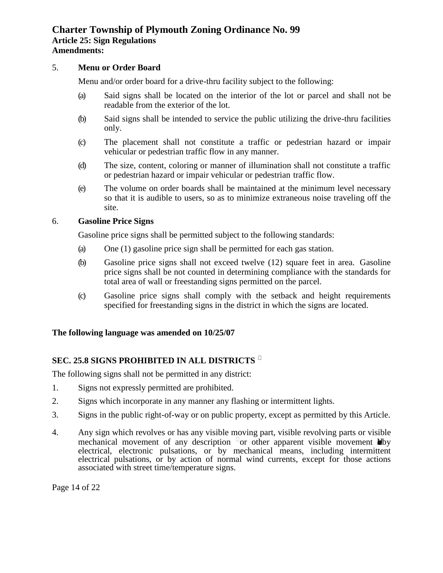#### 5. **Menu or Order Board**

Menu and/or order board for a drive-thru facility subject to the following:

- (a) Said signs shall be located on the interior of the lot or parcel and shall not be readable from the exterior of the lot.
- (b) Said signs shall be intended to service the public utilizing the drive-thru facilities only.
- (c) The placement shall not constitute a traffic or pedestrian hazard or impair vehicular or pedestrian traffic flow in any manner.
- (d) The size, content, coloring or manner of illumination shall not constitute a traffic or pedestrian hazard or impair vehicular or pedestrian traffic flow.
- (e) The volume on order boards shall be maintained at the minimum level necessary so that it is audible to users, so as to minimize extraneous noise traveling off the site.

#### 6. **Gasoline Price Signs**

Gasoline price signs shall be permitted subject to the following standards:

- (a) One (1) gasoline price sign shall be permitted for each gas station.
- (b) Gasoline price signs shall not exceed twelve (12) square feet in area. Gasoline price signs shall be not counted in determining compliance with the standards for total area of wall or freestanding signs permitted on the parcel.
- (c) Gasoline price signs shall comply with the setback and height requirements specified for freestanding signs in the district in which the signs are located.

### **The following language was amended on 10/25/07**

### **SEC. 25.8 SIGNS PROHIBITED IN ALL DISTRICTS**

The following signs shall not be permitted in any district:

- 1. Signs not expressly permitted are prohibited.
- 2. Signs which incorporate in any manner any flashing or intermittent lights.
- 3. Signs in the public right-of-way or on public property, except as permitted by this Article.
- 4. Any sign which revolves or has any visible moving part, visible revolving parts or visible mechanical movement of any description  $\Box$  or other apparent visible movement  $\square$  by electrical, electronic pulsations, or by mechanical means, including intermittent electrical pulsations, or by action of normal wind currents, except for those actions associated with street time/temperature signs.

Page 14 of 22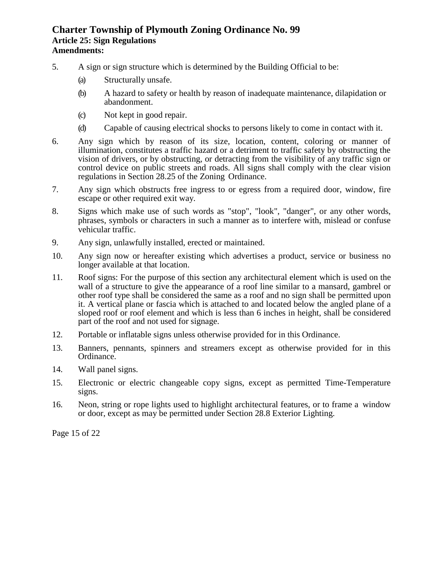- 5. A sign or sign structure which is determined by the Building Official to be:
	- (a) Structurally unsafe.
	- (b) A hazard to safety or health by reason of inadequate maintenance, dilapidation or abandonment.
	- (c) Not kept in good repair.
	- (d) Capable of causing electrical shocks to persons likely to come in contact with it.
- 6. Any sign which by reason of its size, location, content, coloring or manner of illumination, constitutes a traffic hazard or a detriment to traffic safety by obstructing the vision of drivers, or by obstructing, or detracting from the visibility of any traffic sign or control device on public streets and roads. All signs shall comply with the clear vision regulations in Section 28.25 of the Zoning Ordinance.
- 7. Any sign which obstructs free ingress to or egress from a required door, window, fire escape or other required exit way.
- 8. Signs which make use of such words as "stop", "look", "danger", or any other words, phrases, symbols or characters in such a manner as to interfere with, mislead or confuse vehicular traffic.
- 9. Any sign, unlawfully installed, erected or maintained.
- 10. Any sign now or hereafter existing which advertises a product, service or business no longer available at that location.
- 11. Roof signs: For the purpose of this section any architectural element which is used on the wall of a structure to give the appearance of a roof line similar to a mansard, gambrel or other roof type shall be considered the same as a roof and no sign shall be permitted upon it. A vertical plane or fascia which is attached to and located below the angled plane of a sloped roof or roof element and which is less than 6 inches in height, shall be considered part of the roof and not used for signage.
- 12. Portable or inflatable signs unless otherwise provided for in this Ordinance.
- 13. Banners, pennants, spinners and streamers except as otherwise provided for in this Ordinance.
- 14. Wall panel signs.
- 15. Electronic or electric changeable copy signs, except as permitted Time-Temperature signs.
- 16. Neon, string or rope lights used to highlight architectural features, or to frame a window or door, except as may be permitted under Section 28.8 Exterior Lighting.

Page 15 of 22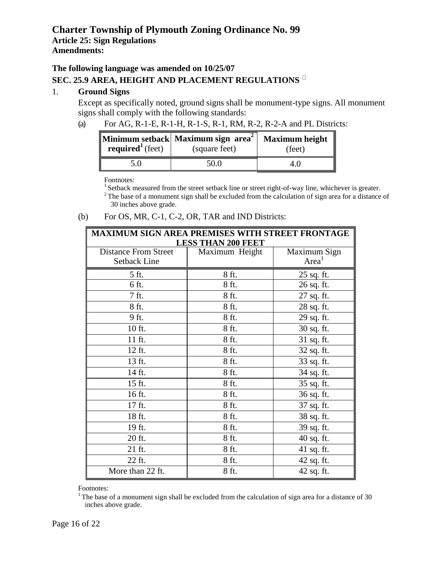# **The following language was amended on 10/25/07 SEC. 25.9 AREA, HEIGHT AND PLACEMENT REGULATIONS**

### 1. **Ground Signs**

Except as specifically noted, ground signs shall be monument-type signs. All monument signs shall comply with the following standards:

(a) For AG, R-1-E, R-1-H, R-1-S, R-1, RM, R-2, R-2-A and PL Districts:

| required <sup>1</sup> (feet) | Minimum setback   Maximum sign area <sup>2</sup>  <br>(square feet) | <b>Maximum height</b><br>(feet) |
|------------------------------|---------------------------------------------------------------------|---------------------------------|
|                              | 50 O                                                                |                                 |

Footnotes:

 $<sup>1</sup>$  Setback measured from the street setback line or street right-of-way line, whichever is greater.</sup>

<sup>2</sup>The base of a monument sign shall be excluded from the calculation of sign area for a distance of 30 inches above grade.

| (b) |  |  |  | For OS, MR, C-1, C-2, OR, TAR and IND Districts: |
|-----|--|--|--|--------------------------------------------------|
|-----|--|--|--|--------------------------------------------------|

| <b>MAXIMUM SIGN AREA PREMISES WITH STREET FRONTAGE</b><br><b>LESS THAN 200 FEET</b> |                |                   |  |  |  |
|-------------------------------------------------------------------------------------|----------------|-------------------|--|--|--|
| <b>Distance From Street</b>                                                         | Maximum Height | Maximum Sign      |  |  |  |
| <b>Setback Line</b>                                                                 |                | Area <sup>1</sup> |  |  |  |
| 5 ft.                                                                               | 8 ft.          | $25$ sq. ft.      |  |  |  |
| 6 ft.                                                                               | 8 ft.          | 26 sq. ft.        |  |  |  |
| 7 ft.                                                                               | 8 ft.          | 27 sq. ft.        |  |  |  |
| 8 ft.                                                                               | 8 ft.          | 28 sq. ft.        |  |  |  |
| 9 ft.                                                                               | 8 ft.          | 29 sq. ft.        |  |  |  |
| 10 ft.                                                                              | 8 ft.          | 30 sq. ft.        |  |  |  |
| 11 ft.                                                                              | 8 ft.          | 31 sq. ft.        |  |  |  |
| 12 ft.                                                                              | 8 ft.          | 32 sq. ft.        |  |  |  |
| 13 ft.                                                                              | 8 ft.          | 33 sq. ft.        |  |  |  |
| 14 ft.                                                                              | 8 ft.          | 34 sq. ft.        |  |  |  |
| 15 ft.                                                                              | 8 ft.          | 35 sq. ft.        |  |  |  |
| 16 ft.                                                                              | 8 ft.          | 36 sq. ft.        |  |  |  |
| 17 ft.                                                                              | 8 ft.          | 37 sq. ft.        |  |  |  |
| 18 ft.                                                                              | 8 ft.          | 38 sq. ft.        |  |  |  |
| 19 ft.                                                                              | 8 ft.          | 39 sq. ft.        |  |  |  |
| 20 ft.                                                                              | 8 ft.          | 40 sq. ft.        |  |  |  |
| 21 ft.                                                                              | 8 ft.          | 41 sq. ft.        |  |  |  |
| 22 ft.                                                                              | 8 ft.          | 42 sq. ft.        |  |  |  |
| More than 22 ft.                                                                    | 8 ft.          | 42 sq. ft.        |  |  |  |

Footnotes:

<sup>1</sup> The base of a monument sign shall be excluded from the calculation of sign area for a distance of 30 inches above grade.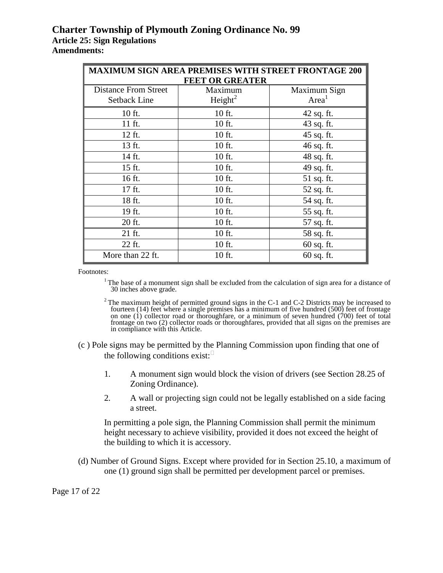| <b>MAXIMUM SIGN AREA PREMISES WITH STREET FRONTAGE 200</b><br><b>FEET OR GREATER</b> |                     |                   |  |
|--------------------------------------------------------------------------------------|---------------------|-------------------|--|
| <b>Distance From Street</b>                                                          | Maximum             | Maximum Sign      |  |
| <b>Setback Line</b>                                                                  | Height <sup>2</sup> | Area <sup>1</sup> |  |
| 10 ft.                                                                               | 10 ft.              | 42 sq. ft.        |  |
| 11 ft.                                                                               | 10 ft.              | 43 sq. ft.        |  |
| 12 ft.                                                                               | 10 ft.              | 45 sq. ft.        |  |
| 13 ft.                                                                               | 10 ft.              | 46 sq. ft.        |  |
| 14 ft.                                                                               | 10 ft.              | 48 sq. ft.        |  |
| 15 ft.                                                                               | 10 ft.              | 49 sq. ft.        |  |
| 16 ft.                                                                               | 10 ft.              | 51 sq. ft.        |  |
| 17 ft.                                                                               | 10 ft.              | 52 sq. ft.        |  |
| 18 ft.                                                                               | 10 ft.              | 54 sq. ft.        |  |
| 19 ft.                                                                               | 10 ft.              | 55 sq. ft.        |  |
| 20 ft.                                                                               | 10 ft.              | 57 sq. ft.        |  |
| 21 ft.                                                                               | 10 ft.              | 58 sq. ft.        |  |
| 22 ft.                                                                               | 10 ft.              | 60 sq. ft.        |  |
| More than 22 ft.                                                                     | 10 ft.              | $60$ sq. ft.      |  |

Footnotes:

 $<sup>1</sup>$ The base of a monument sign shall be excluded from the calculation of sign area for a distance of</sup> 30 inches above grade.

 $2^2$ The maximum height of permitted ground signs in the C-1 and C-2 Districts may be increased to fourteen (14) feet where a single premises has a minimum of five hundred (500) feet of frontage on one (1) collector road or thoroughfare, or a minimum of seven hundred (700) feet of total frontage on two (2) collector roads or thoroughfares, provided that all signs on the premises are in compliance with this Article.

- (c ) Pole signs may be permitted by the Planning Commission upon finding that one of the following conditions exist: $\Box$ 
	- 1. A monument sign would block the vision of drivers (see Section 28.25 of Zoning Ordinance).
	- 2. A wall or projecting sign could not be legally established on a side facing a street.

In permitting a pole sign, the Planning Commission shall permit the minimum height necessary to achieve visibility, provided it does not exceed the height of the building to which it is accessory.

(d) Number of Ground Signs. Except where provided for in Section 25.10, a maximum of one (1) ground sign shall be permitted per development parcel or premises.

Page 17 of 22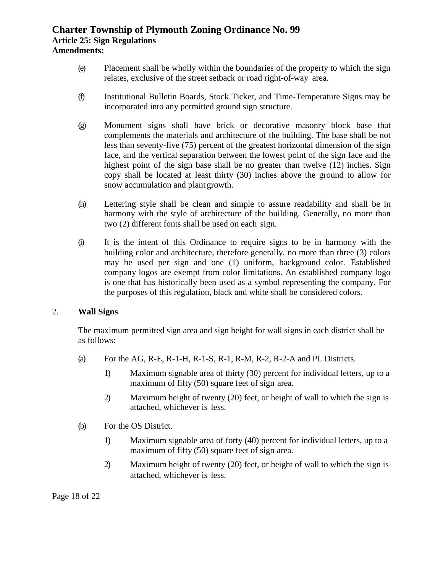- (e) Placement shall be wholly within the boundaries of the property to which the sign relates, exclusive of the street setback or road right-of-way area.
- (f) Institutional Bulletin Boards, Stock Ticker, and Time-Temperature Signs may be incorporated into any permitted ground sign structure.
- (g) Monument signs shall have brick or decorative masonry block base that complements the materials and architecture of the building. The base shall be not less than seventy-five (75) percent of the greatest horizontal dimension of the sign face, and the vertical separation between the lowest point of the sign face and the highest point of the sign base shall be no greater than twelve (12) inches. Sign copy shall be located at least thirty (30) inches above the ground to allow for snow accumulation and plant growth.
- (h) Lettering style shall be clean and simple to assure readability and shall be in harmony with the style of architecture of the building. Generally, no more than two (2) different fonts shall be used on each sign.
- (i) It is the intent of this Ordinance to require signs to be in harmony with the building color and architecture, therefore generally, no more than three (3) colors may be used per sign and one (1) uniform, background color. Established company logos are exempt from color limitations. An established company logo is one that has historically been used as a symbol representing the company. For the purposes of this regulation, black and white shall be considered colors.

## 2. **Wall Signs**

The maximum permitted sign area and sign height for wall signs in each district shall be as follows:

- (a) For the AG, R-E, R-1-H, R-1-S, R-1, R-M, R-2, R-2-A and PL Districts.
	- 1) Maximum signable area of thirty (30) percent for individual letters, up to a maximum of fifty (50) square feet of sign area.
	- 2) Maximum height of twenty (20) feet, or height of wall to which the sign is attached, whichever is less.
- (b) For the OS District.
	- 1) Maximum signable area of forty (40) percent for individual letters, up to a maximum of fifty (50) square feet of sign area.
	- 2) Maximum height of twenty (20) feet, or height of wall to which the sign is attached, whichever is less.

Page 18 of 22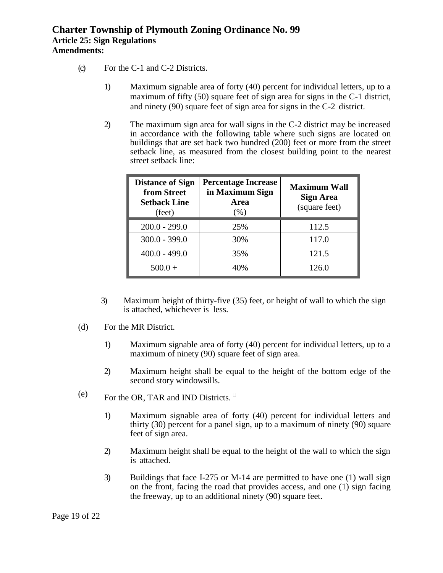- (c) For the C-1 and C-2 Districts.
	- 1) Maximum signable area of forty (40) percent for individual letters, up to a maximum of fifty (50) square feet of sign area for signs in the C-1 district, and ninety (90) square feet of sign area for signs in the C-2 district.
	- 2) The maximum sign area for wall signs in the C-2 district may be increased in accordance with the following table where such signs are located on buildings that are set back two hundred (200) feet or more from the street setback line, as measured from the closest building point to the nearest street setback line:

| <b>Distance of Sign</b><br>from Street<br><b>Setback Line</b><br>(feet) | <b>Percentage Increase</b><br>in Maximum Sign<br>Area<br>(% ) | <b>Maximum Wall</b><br><b>Sign Area</b><br>(square feet) |
|-------------------------------------------------------------------------|---------------------------------------------------------------|----------------------------------------------------------|
| $200.0 - 299.0$                                                         | 25%                                                           | 112.5                                                    |
| $300.0 - 399.0$                                                         | 30%                                                           | 117.0                                                    |
| $400.0 - 499.0$                                                         | 35%                                                           | 121.5                                                    |
| $500.0 +$                                                               | 40%                                                           | 126.0                                                    |

- 3) Maximum height of thirty-five (35) feet, or height of wall to which the sign is attached, whichever is less.
- (d) For the MR District.
	- 1) Maximum signable area of forty (40) percent for individual letters, up to a maximum of ninety (90) square feet of sign area.
	- 2) Maximum height shall be equal to the height of the bottom edge of the second story windowsills.
- (e) For the OR, TAR and IND Districts.
	- 1) Maximum signable area of forty (40) percent for individual letters and thirty (30) percent for a panel sign, up to a maximum of ninety (90) square feet of sign area.
	- 2) Maximum height shall be equal to the height of the wall to which the sign is attached.
	- 3) Buildings that face I-275 or M-14 are permitted to have one (1) wall sign on the front, facing the road that provides access, and one (1) sign facing the freeway, up to an additional ninety (90) square feet.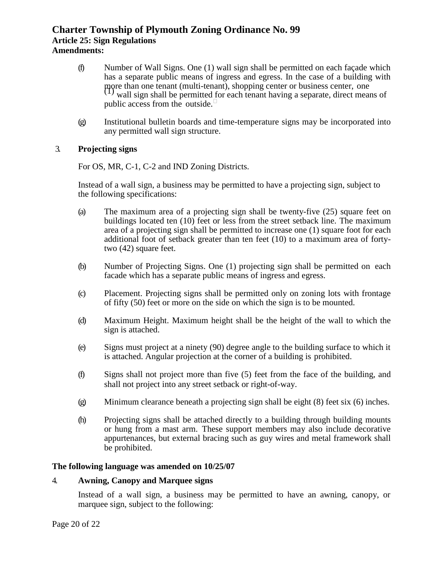- (f) Number of Wall Signs. One (1) wall sign shall be permitted on each façade which has a separate public means of ingress and egress. In the case of a building with more than one tenant (multi-tenant), shopping center or business center, one ( $\binom{1}{1}$  wall sign shall be permitted for each tenant having a separate, direct means of public access from the outside.
- (g) Institutional bulletin boards and time-temperature signs may be incorporated into any permitted wall sign structure.

### 3. **Projecting signs**

For OS, MR, C-1, C-2 and IND Zoning Districts.

Instead of a wall sign, a business may be permitted to have a projecting sign, subject to the following specifications:

- (a) The maximum area of a projecting sign shall be twenty-five (25) square feet on buildings located ten (10) feet or less from the street setback line. The maximum area of a projecting sign shall be permitted to increase one (1) square foot for each additional foot of setback greater than ten feet (10) to a maximum area of fortytwo (42) square feet.
- (b) Number of Projecting Signs. One (1) projecting sign shall be permitted on each facade which has a separate public means of ingress and egress.
- (c) Placement. Projecting signs shall be permitted only on zoning lots with frontage of fifty (50) feet or more on the side on which the sign is to be mounted.
- (d) Maximum Height. Maximum height shall be the height of the wall to which the sign is attached.
- (e) Signs must project at a ninety (90) degree angle to the building surface to which it is attached. Angular projection at the corner of a building is prohibited.
- (f) Signs shall not project more than five (5) feet from the face of the building, and shall not project into any street setback or right-of-way.
- (g) Minimum clearance beneath a projecting sign shall be eight (8) feet six (6) inches.
- (h) Projecting signs shall be attached directly to a building through building mounts or hung from a mast arm. These support members may also include decorative appurtenances, but external bracing such as guy wires and metal framework shall be prohibited.

### **The following language was amended on 10/25/07**

#### 4. **Awning, Canopy and Marquee signs**

Instead of a wall sign, a business may be permitted to have an awning, canopy, or marquee sign, subject to the following: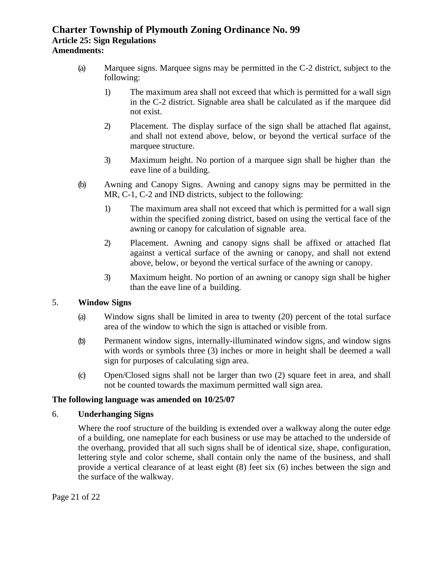- (a) Marquee signs. Marquee signs may be permitted in the C-2 district, subject to the following:
	- 1) The maximum area shall not exceed that which is permitted for a wall sign in the C-2 district. Signable area shall be calculated as if the marquee did not exist.
	- 2) Placement. The display surface of the sign shall be attached flat against, and shall not extend above, below, or beyond the vertical surface of the marquee structure.
	- 3) Maximum height. No portion of a marquee sign shall be higher than the eave line of a building.
- (b) Awning and Canopy Signs. Awning and canopy signs may be permitted in the MR, C-1, C-2 and IND districts, subject to the following:
	- 1) The maximum area shall not exceed that which is permitted for a wall sign within the specified zoning district, based on using the vertical face of the awning or canopy for calculation of signable area.
	- 2) Placement. Awning and canopy signs shall be affixed or attached flat against a vertical surface of the awning or canopy, and shall not extend above, below, or beyond the vertical surface of the awning or canopy.
	- 3) Maximum height. No portion of an awning or canopy sign shall be higher than the eave line of a building.

## 5. **Window Signs**

- (a) Window signs shall be limited in area to twenty (20) percent of the total surface area of the window to which the sign is attached or visible from.
- (b) Permanent window signs, internally-illuminated window signs, and window signs with words or symbols three (3) inches or more in height shall be deemed a wall sign for purposes of calculating sign area.
- (c) Open/Closed signs shall not be larger than two (2) square feet in area, and shall not be counted towards the maximum permitted wall sign area.

### **The following language was amended on 10/25/07**

### 6. **Underhanging Signs**

Where the roof structure of the building is extended over a walkway along the outer edge of a building, one nameplate for each business or use may be attached to the underside of the overhang, provided that all such signs shall be of identical size, shape, configuration, lettering style and color scheme, shall contain only the name of the business, and shall provide a vertical clearance of at least eight (8) feet six (6) inches between the sign and the surface of the walkway.

Page 21 of 22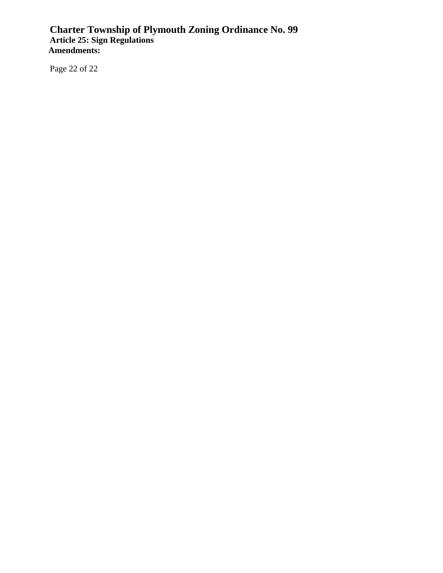Page 22 of 22